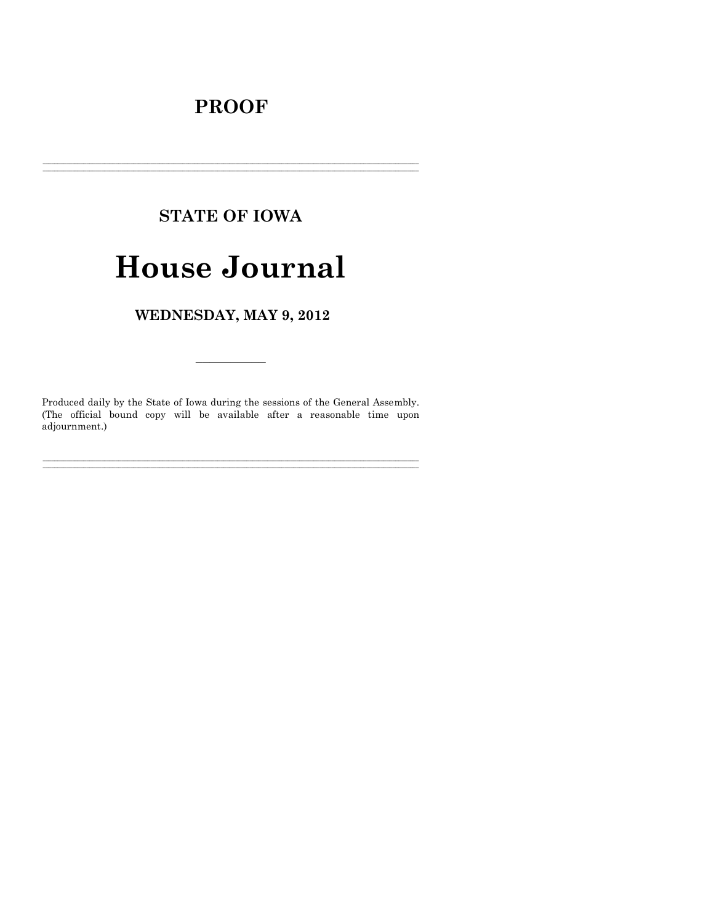# **PROOF**

# **STATE OF IOWA**

# **House Journal**

WEDNESDAY, MAY 9, 2012

Produced daily by the State of Iowa during the sessions of the General Assembly.<br>(The official bound copy will be available after a reasonable time upon adjournment.)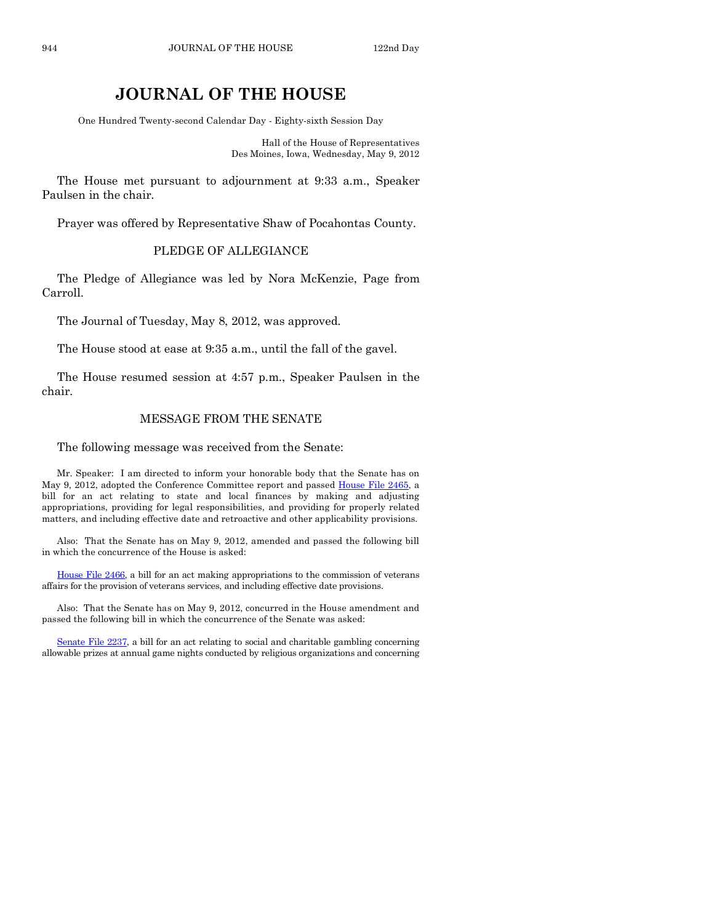# **JOURNAL OF THE HOUSE**

One Hundred Twenty-second Calendar Day - Eighty-sixth Session Day

Hall of the House of Representatives Des Moines, Iowa, Wednesday, May 9, 2012

The House met pursuant to adjournment at 9:33 a.m., Speaker Paulsen in the chair.

Prayer was offered by Representative Shaw of Pocahontas County.

# PLEDGE OF ALLEGIANCE

The Pledge of Allegiance was led by Nora McKenzie, Page from Carroll.

The Journal of Tuesday, May 8, 2012, was approved.

The House stood at ease at 9:35 a.m., until the fall of the gavel.

The House resumed session at 4:57 p.m., Speaker Paulsen in the chair.

#### MESSAGE FROM THE SENATE

The following message was received from the Senate:

Mr. Speaker: I am directed to inform your honorable body that the Senate has on May 9, 2012, adopted the Conference Committee report and passed [House File 2465,](http://coolice.legis.state.ia.us/Cool-ICE/default.asp?Category=billinfo&Service=Billbook&frame=1&GA=84&hbill=HF2465) a bill for an act relating to state and local finances by making and adjusting appropriations, providing for legal responsibilities, and providing for properly related matters, and including effective date and retroactive and other applicability provisions.

Also: That the Senate has on May 9, 2012, amended and passed the following bill in which the concurrence of the House is asked:

[House File 2466,](http://coolice.legis.state.ia.us/Cool-ICE/default.asp?Category=billinfo&Service=Billbook&frame=1&GA=84&hbill=HF2466) a bill for an act making appropriations to the commission of veterans affairs for the provision of veterans services, and including effective date provisions.

Also: That the Senate has on May 9, 2012, concurred in the House amendment and passed the following bill in which the concurrence of the Senate was asked:

[Senate File 2237,](http://coolice.legis.state.ia.us/Cool-ICE/default.asp?Category=billinfo&Service=Billbook&frame=1&GA=84&hbill=SF2237) a bill for an act relating to social and charitable gambling concerning allowable prizes at annual game nights conducted by religious organizations and concerning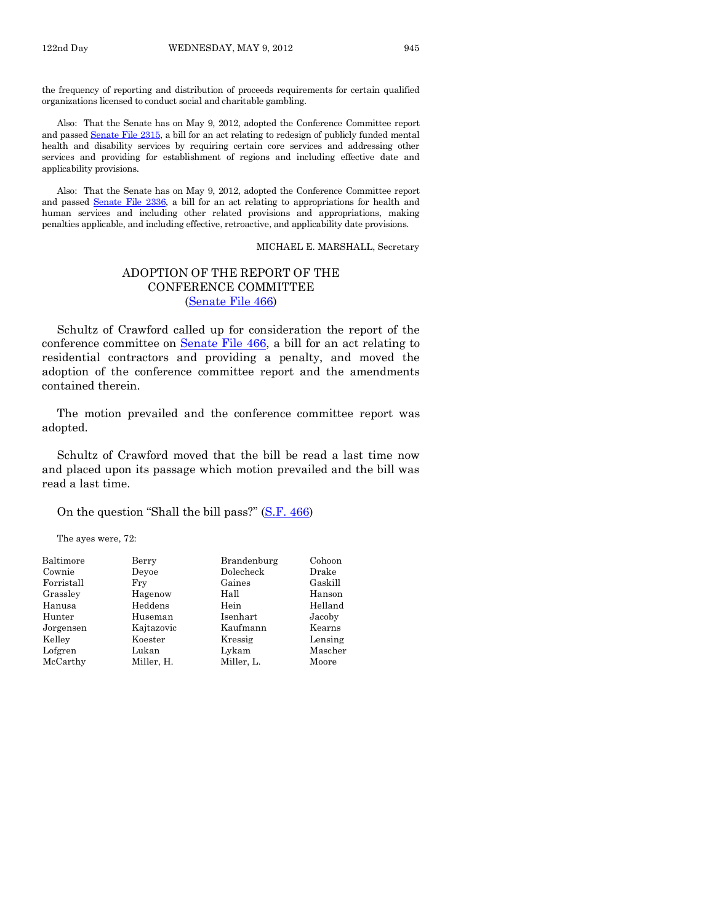the frequency of reporting and distribution of proceeds requirements for certain qualified organizations licensed to conduct social and charitable gambling.

Also: That the Senate has on May 9, 2012, adopted the Conference Committee report and passed [Senate File 2315,](http://coolice.legis.state.ia.us/Cool-ICE/default.asp?Category=billinfo&Service=Billbook&frame=1&GA=84&hbill=SF2315) a bill for an act relating to redesign of publicly funded mental health and disability services by requiring certain core services and addressing other services and providing for establishment of regions and including effective date and applicability provisions.

Also: That the Senate has on May 9, 2012, adopted the Conference Committee report and passed [Senate File 2336,](http://coolice.legis.state.ia.us/Cool-ICE/default.asp?Category=billinfo&Service=Billbook&frame=1&GA=84&hbill=SF2336) a bill for an act relating to appropriations for health and human services and including other related provisions and appropriations, making penalties applicable, and including effective, retroactive, and applicability date provisions.

MICHAEL E. MARSHALL, Secretary

### ADOPTION OF THE REPORT OF THE CONFERENCE COMMITTEE [\(Senate File 466\)](http://coolice.legis.state.ia.us/Cool-ICE/default.asp?Category=billinfo&Service=Billbook&frame=1&GA=84&hbill=SF466)

Schultz of Crawford called up for consideration the report of the conference committee on [Senate File 466,](http://coolice.legis.state.ia.us/Cool-ICE/default.asp?Category=billinfo&Service=Billbook&frame=1&GA=84&hbill=SF466) a bill for an act relating to residential contractors and providing a penalty, and moved the adoption of the conference committee report and the amendments contained therein.

The motion prevailed and the conference committee report was adopted.

Schultz of Crawford moved that the bill be read a last time now and placed upon its passage which motion prevailed and the bill was read a last time.

On the question "Shall the bill pass?" [\(S.F. 466\)](http://coolice.legis.state.ia.us/Cool-ICE/default.asp?Category=billinfo&Service=Billbook&frame=1&GA=84&hbill=SF466)

The ayes were, 72:

| Baltimore  | Berry      | Brandenburg | Cohoon  |
|------------|------------|-------------|---------|
| Cownie     | Devoe      | Dolecheck   | Drake   |
| Forristall | Fry        | Gaines      | Gaskill |
| Grassley   | Hagenow    | Hall        | Hanson  |
| Hanusa     | Heddens    | Hein        | Helland |
| Hunter     | Huseman    | Isenhart    | Jacoby  |
| Jorgensen  | Kajtazovic | Kaufmann    | Kearns  |
| Kelley     | Koester    | Kressig     | Lensing |
| Lofgren    | Lukan      | Lykam       | Mascher |
| McCarthy   | Miller, H. | Miller, L.  | Moore   |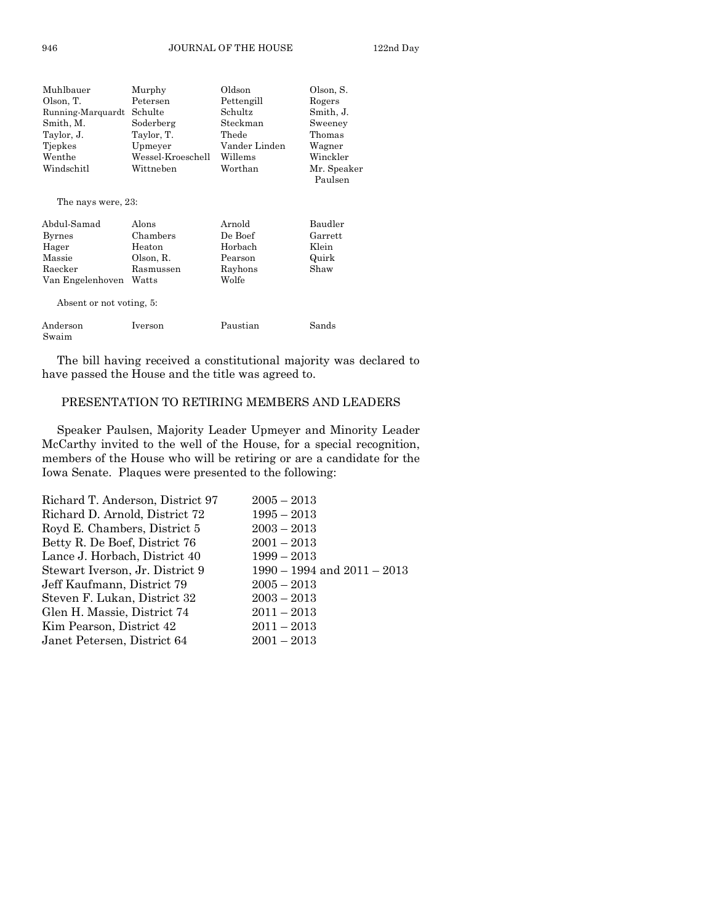| Muhlbauer                | Murphy            | Oldson        | Olson, S.              |
|--------------------------|-------------------|---------------|------------------------|
| Olson, T.                | Petersen          | Pettengill    | Rogers                 |
| Running-Marquardt        | Schulte           | Schultz       | Smith, J.              |
| Smith, M.                | Soderberg         | Steckman      | Sweeney                |
| Taylor, J.               | Taylor, T.        | Thede         | Thomas                 |
| Tiepkes                  | Upmeyer           | Vander Linden | Wagner                 |
| Wenthe                   | Wessel-Kroeschell | Willems       | Winckler               |
| Windschitl               | Wittneben         | Worthan       | Mr. Speaker<br>Paulsen |
| The nays were, 23:       |                   |               |                        |
| Abdul-Samad              | Alons             | Arnold        | Baudler                |
| <b>Byrnes</b>            | Chambers          | De Boef       | Garrett                |
| Hager                    | Heaton            | Horbach       | Klein                  |
| Massie                   | Olson, R.         | Pearson       | Quirk                  |
| Raecker                  | Rasmussen         | Rayhons       | Shaw                   |
| Van Engelenhoven         | Watts             | Wolfe         |                        |
| Absent or not voting, 5: |                   |               |                        |
| Anderson<br>Swaim        | Iverson           | Paustian      | Sands                  |

The bill having received a constitutional majority was declared to have passed the House and the title was agreed to.

#### PRESENTATION TO RETIRING MEMBERS AND LEADERS

Speaker Paulsen, Majority Leader Upmeyer and Minority Leader McCarthy invited to the well of the House, for a special recognition, members of the House who will be retiring or are a candidate for the Iowa Senate. Plaques were presented to the following:

| Richard T. Anderson, District 97 | $2005 - 2013$                   |
|----------------------------------|---------------------------------|
| Richard D. Arnold, District 72   | $1995 - 2013$                   |
| Royd E. Chambers, District 5     | $2003 - 2013$                   |
| Betty R. De Boef, District 76    | $2001 - 2013$                   |
| Lance J. Horbach, District 40    | $1999 - 2013$                   |
| Stewart Iverson, Jr. District 9  | $1990 - 1994$ and $2011 - 2013$ |
| Jeff Kaufmann, District 79       | $2005 - 2013$                   |
| Steven F. Lukan, District 32     | $2003 - 2013$                   |
| Glen H. Massie, District 74      | $2011 - 2013$                   |
| Kim Pearson, District 42         | $2011 - 2013$                   |
| Janet Petersen, District 64      | $2001 - 2013$                   |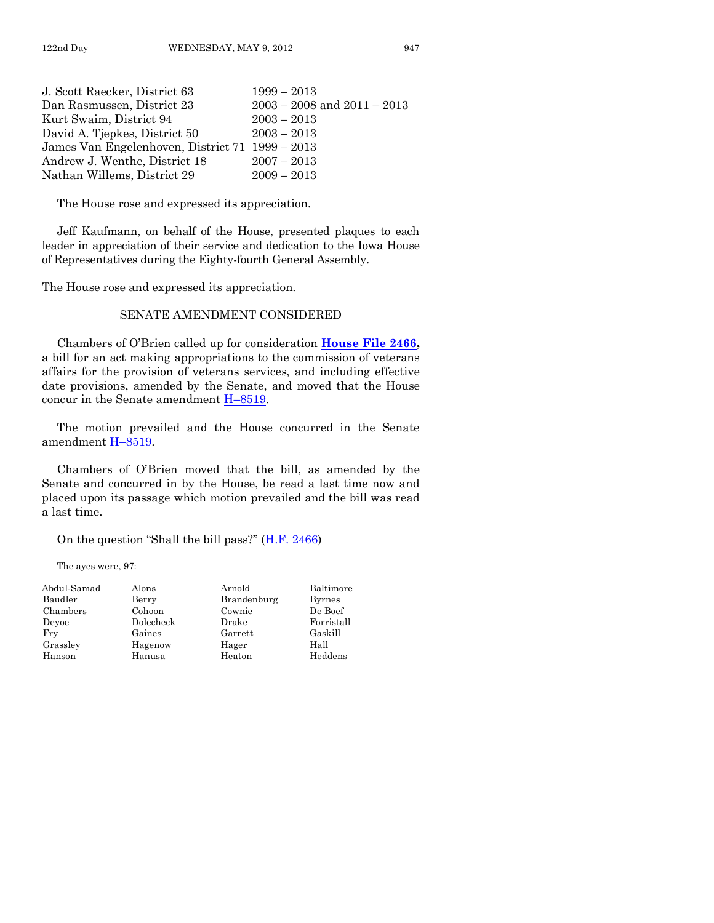| J. Scott Raecker, District 63                   | $1999 - 2013$                   |
|-------------------------------------------------|---------------------------------|
| Dan Rasmussen, District 23                      | $2003 - 2008$ and $2011 - 2013$ |
| Kurt Swaim, District 94                         | $2003 - 2013$                   |
| David A. Tjepkes, District 50                   | $2003 - 2013$                   |
| James Van Engelenhoven, District 71 1999 – 2013 |                                 |
| Andrew J. Wenthe, District 18                   | $2007 - 2013$                   |
| Nathan Willems, District 29                     | $2009 - 2013$                   |

The House rose and expressed its appreciation.

Jeff Kaufmann, on behalf of the House, presented plaques to each leader in appreciation of their service and dedication to the Iowa House of Representatives during the Eighty-fourth General Assembly.

The House rose and expressed its appreciation.

## SENATE AMENDMENT CONSIDERED

Chambers of O'Brien called up for consideration **[House File 2466,](http://coolice.legis.state.ia.us/Cool-ICE/default.asp?Category=billinfo&Service=Billbook&frame=1&GA=84&hbill=HF2466)** a bill for an act making appropriations to the commission of veterans affairs for the provision of veterans services, and including effective date provisions, amended by the Senate, and moved that the House concur in the Senate amendmen[t H–8519.](http://coolice.legis.state.ia.us/Cool-ICE/default.asp?Category=billinfo&Service=Billbook&frame=1&GA=84&hbill=H8519)

The motion prevailed and the House concurred in the Senate amendment H-8519.

Chambers of O'Brien moved that the bill, as amended by the Senate and concurred in by the House, be read a last time now and placed upon its passage which motion prevailed and the bill was read a last time.

#### On the question "Shall the bill pass?"  $(H.F. 2466)$

The ayes were, 97:

| Abdul-Samad | Alons     | Arnold      | Baltimore     |
|-------------|-----------|-------------|---------------|
| Baudler     | Berry     | Brandenburg | <b>Byrnes</b> |
| Chambers    | Cohoon    | Cownie      | De Boef       |
| Devoe       | Dolecheck | Drake       | Forristall    |
| Fry         | Gaines    | Garrett     | Gaskill       |
| Grassley    | Hagenow   | Hager       | Hall          |
| Hanson      | Hanusa    | Heaton      | Heddens       |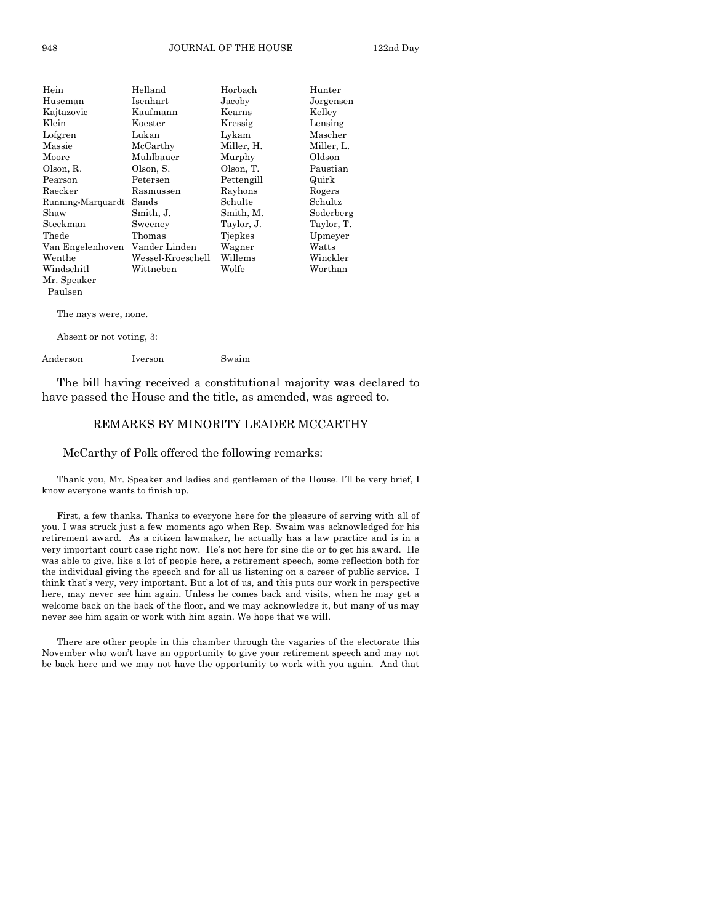| Hein              | Helland           | Horbach    | Hunter     |
|-------------------|-------------------|------------|------------|
| Huseman           | Isenhart          | Jacoby     | Jorgensen  |
| Kajtazovic        | Kaufmann          | Kearns     | Kelley     |
| Klein             | Koester           | Kressig    | Lensing    |
| Lofgren           | Lukan             | Lykam      | Mascher    |
| Massie            | McCarthy          | Miller, H. | Miller, L. |
| Moore             | Muhlbauer         | Murphy     | Oldson     |
| Olson, R.         | Olson, S.         | Olson, T.  | Paustian   |
| Pearson           | Petersen          | Pettengill | Quirk      |
| Raecker           | Rasmussen         | Rayhons    | Rogers     |
| Running-Marquardt | Sands             | Schulte    | Schultz    |
| Shaw              | Smith, J.         | Smith, M.  | Soderberg  |
| Steckman          | Sweeney           | Taylor, J. | Taylor, T. |
| Thede             | Thomas            | Tiepkes    | Upmeyer    |
| Van Engelenhoven  | Vander Linden     | Wagner     | Watts      |
| Wenthe            | Wessel-Kroeschell | Willems    | Winckler   |
| Windschitl        | Wittneben         | Wolfe      | Worthan    |
| Mr. Speaker       |                   |            |            |
| Paulsen           |                   |            |            |

The nays were, none.

Absent or not voting, 3:

Anderson Iverson Swaim

The bill having received a constitutional majority was declared to have passed the House and the title, as amended, was agreed to.

#### REMARKS BY MINORITY LEADER MCCARTHY

#### McCarthy of Polk offered the following remarks:

Thank you, Mr. Speaker and ladies and gentlemen of the House. I'll be very brief, I know everyone wants to finish up.

First, a few thanks. Thanks to everyone here for the pleasure of serving with all of you. I was struck just a few moments ago when Rep. Swaim was acknowledged for his retirement award. As a citizen lawmaker, he actually has a law practice and is in a very important court case right now. He's not here for sine die or to get his award. He was able to give, like a lot of people here, a retirement speech, some reflection both for the individual giving the speech and for all us listening on a career of public service. I think that's very, very important. But a lot of us, and this puts our work in perspective here, may never see him again. Unless he comes back and visits, when he may get a welcome back on the back of the floor, and we may acknowledge it, but many of us may never see him again or work with him again. We hope that we will.

There are other people in this chamber through the vagaries of the electorate this November who won't have an opportunity to give your retirement speech and may not be back here and we may not have the opportunity to work with you again. And that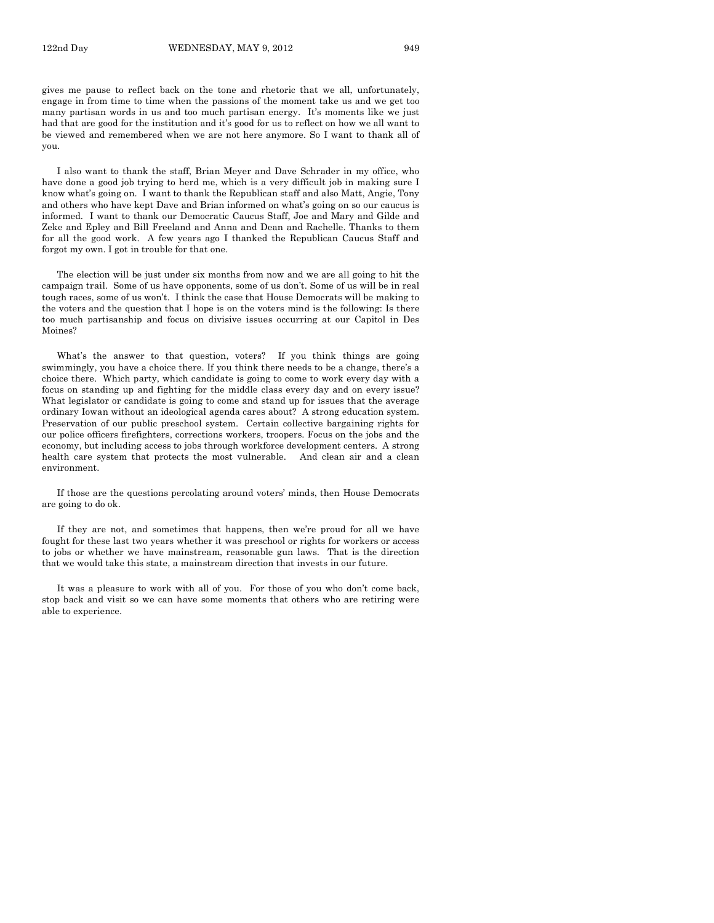gives me pause to reflect back on the tone and rhetoric that we all, unfortunately, engage in from time to time when the passions of the moment take us and we get too many partisan words in us and too much partisan energy. It's moments like we just had that are good for the institution and it's good for us to reflect on how we all want to be viewed and remembered when we are not here anymore. So I want to thank all of you.

I also want to thank the staff, Brian Meyer and Dave Schrader in my office, who have done a good job trying to herd me, which is a very difficult job in making sure I know what's going on. I want to thank the Republican staff and also Matt, Angie, Tony and others who have kept Dave and Brian informed on what's going on so our caucus is informed. I want to thank our Democratic Caucus Staff, Joe and Mary and Gilde and Zeke and Epley and Bill Freeland and Anna and Dean and Rachelle. Thanks to them for all the good work. A few years ago I thanked the Republican Caucus Staff and forgot my own. I got in trouble for that one.

The election will be just under six months from now and we are all going to hit the campaign trail. Some of us have opponents, some of us don't. Some of us will be in real tough races, some of us won't. I think the case that House Democrats will be making to the voters and the question that I hope is on the voters mind is the following: Is there too much partisanship and focus on divisive issues occurring at our Capitol in Des Moines?

What's the answer to that question, voters? If you think things are going swimmingly, you have a choice there. If you think there needs to be a change, there's a choice there. Which party, which candidate is going to come to work every day with a focus on standing up and fighting for the middle class every day and on every issue? What legislator or candidate is going to come and stand up for issues that the average ordinary Iowan without an ideological agenda cares about? A strong education system. Preservation of our public preschool system. Certain collective bargaining rights for our police officers firefighters, corrections workers, troopers. Focus on the jobs and the economy, but including access to jobs through workforce development centers. A strong health care system that protects the most vulnerable. And clean air and a clean environment.

If those are the questions percolating around voters' minds, then House Democrats are going to do ok.

If they are not, and sometimes that happens, then we're proud for all we have fought for these last two years whether it was preschool or rights for workers or access to jobs or whether we have mainstream, reasonable gun laws. That is the direction that we would take this state, a mainstream direction that invests in our future.

It was a pleasure to work with all of you. For those of you who don't come back, stop back and visit so we can have some moments that others who are retiring were able to experience.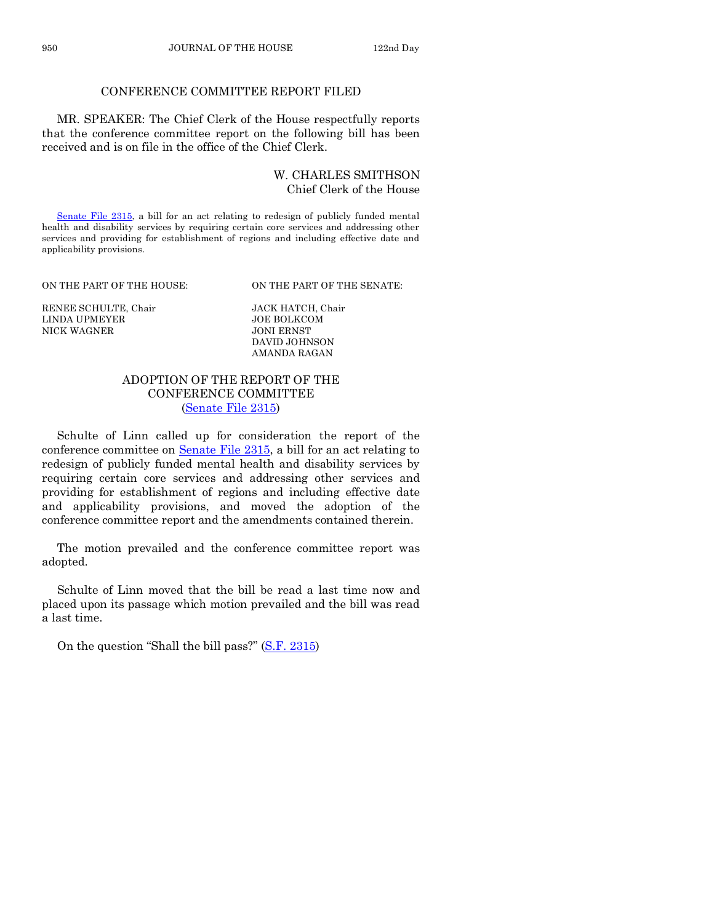# CONFERENCE COMMITTEE REPORT FILED

MR. SPEAKER: The Chief Clerk of the House respectfully reports that the conference committee report on the following bill has been received and is on file in the office of the Chief Clerk.

#### W. CHARLES SMITHSON Chief Clerk of the House

[Senate File 2315,](http://coolice.legis.state.ia.us/Cool-ICE/default.asp?Category=billinfo&Service=Billbook&frame=1&GA=84&hbill=SF2315) a bill for an act relating to redesign of publicly funded mental health and disability services by requiring certain core services and addressing other services and providing for establishment of regions and including effective date and applicability provisions.

ON THE PART OF THE HOUSE: ON THE PART OF THE SENATE:

RENEE SCHULTE, Chair JACK HATCH, Chair LINDA UPMEYER JOE BOLKCO<br>NICK WAGNER JONI ERNST NICK WAGNER

DAVID JOHNSON AMANDA RAGAN

## ADOPTION OF THE REPORT OF THE CONFERENCE COMMITTEE [\(Senate File 2315\)](http://coolice.legis.state.ia.us/Cool-ICE/default.asp?Category=billinfo&Service=Billbook&frame=1&GA=84&hbill=SF2315)

Schulte of Linn called up for consideration the report of the conference committee on [Senate File 2315,](http://coolice.legis.state.ia.us/Cool-ICE/default.asp?Category=billinfo&Service=Billbook&frame=1&GA=84&hbill=SF2315) a bill for an act relating to redesign of publicly funded mental health and disability services by requiring certain core services and addressing other services and providing for establishment of regions and including effective date and applicability provisions, and moved the adoption of the conference committee report and the amendments contained therein.

The motion prevailed and the conference committee report was adopted.

Schulte of Linn moved that the bill be read a last time now and placed upon its passage which motion prevailed and the bill was read a last time.

On the question "Shall the bill pass?" [\(S.F. 2315\)](http://coolice.legis.state.ia.us/Cool-ICE/default.asp?Category=billinfo&Service=Billbook&frame=1&GA=84&hbill=SF2315)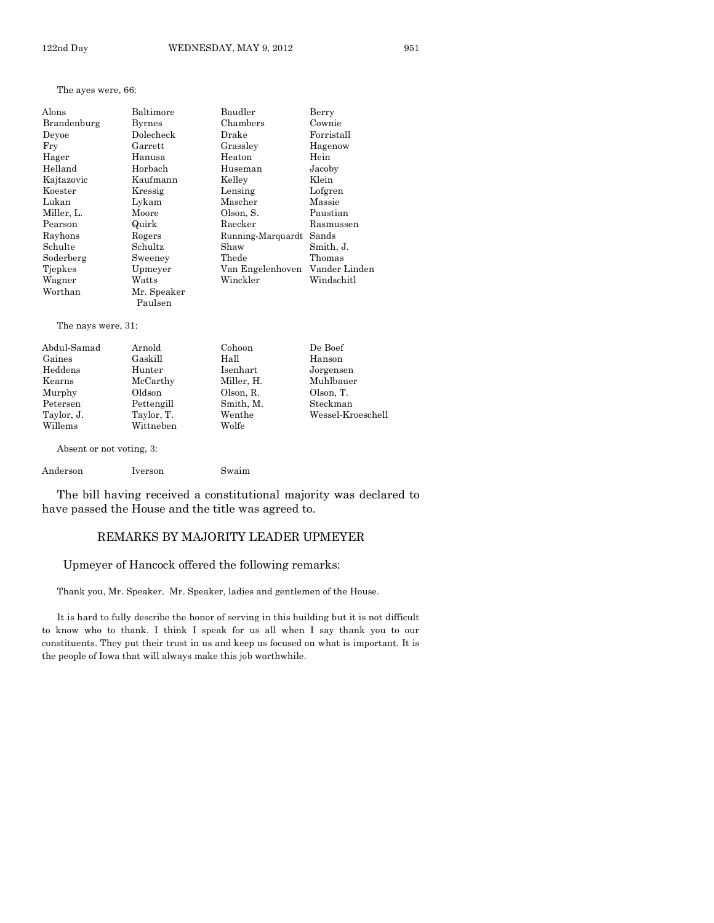#### The ayes were, 66:

| Alons       | Baltimore   | Baudler           | Berry         |
|-------------|-------------|-------------------|---------------|
| Brandenburg | Byrnes      | Chambers          | Cownie        |
| Devoe       | Dolecheck   | Drake             | Forristall    |
| Fry         | Garrett     | Grassley          | Hagenow       |
| Hager       | Hanusa      | Heaton            | Hein          |
| Helland     | Horbach     | Huseman           | Jacoby        |
| Kajtazovic  | Kaufmann    | Kelley            | Klein         |
| Koester     | Kressig     | Lensing           | Lofgren       |
| Lukan       | Lykam       | Mascher           | Massie        |
| Miller, L.  | Moore       | Olson, S.         | Paustian      |
| Pearson     | Quirk       | Raecker           | Rasmussen     |
| Rayhons     | Rogers      | Running-Marquardt | Sands         |
| Schulte     | Schultz     | Shaw              | Smith, J.     |
| Soderberg   | Sweeney     | Thede             | Thomas        |
| Tjepkes     | Upmeyer     | Van Engelenhoven  | Vander Linden |
| Wagner      | Watts       | Winckler          | Windschitl    |
| Worthan     | Mr. Speaker |                   |               |
|             | Paulsen     |                   |               |

The nays were, 31:

| Abdul-Samad | Arnold     | Cohoon     | De Boef           |
|-------------|------------|------------|-------------------|
| Gaines      | Gaskill    | Hall       | Hanson            |
| Heddens     | Hunter     | Isenhart   | Jorgensen         |
| Kearns      | McCarthy   | Miller, H. | Muhlbauer         |
| Murphy      | Oldson     | Olson, R.  | Olson, T.         |
| Petersen    | Pettengill | Smith, M.  | Steckman          |
| Taylor, J.  | Taylor, T. | Wenthe     | Wessel-Kroeschell |
| Willems     | Wittneben  | Wolfe      |                   |
|             |            |            |                   |

Absent or not voting, 3:

```
Anderson Iverson Swaim
```
The bill having received a constitutional majority was declared to have passed the House and the title was agreed to.

## REMARKS BY MAJORITY LEADER UPMEYER

#### Upmeyer of Hancock offered the following remarks:

Thank you, Mr. Speaker. Mr. Speaker, ladies and gentlemen of the House.

It is hard to fully describe the honor of serving in this building but it is not difficult to know who to thank. I think I speak for us all when I say thank you to our constituents. They put their trust in us and keep us focused on what is important. It is the people of Iowa that will always make this job worthwhile.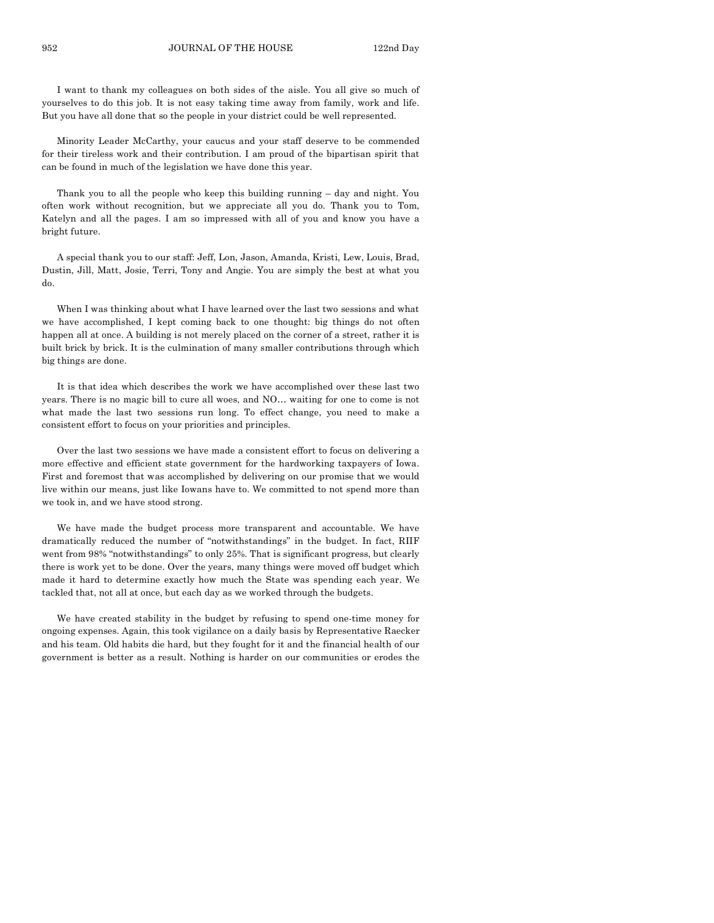I want to thank my colleagues on both sides of the aisle. You all give so much of yourselves to do this job. It is not easy taking time away from family, work and life. But you have all done that so the people in your district could be well represented.

Minority Leader McCarthy, your caucus and your staff deserve to be commended for their tireless work and their contribution. I am proud of the bipartisan spirit that can be found in much of the legislation we have done this year.

Thank you to all the people who keep this building running – day and night. You often work without recognition, but we appreciate all you do. Thank you to Tom, Katelyn and all the pages. I am so impressed with all of you and know you have a bright future.

A special thank you to our staff: Jeff, Lon, Jason, Amanda, Kristi, Lew, Louis, Brad, Dustin, Jill, Matt, Josie, Terri, Tony and Angie. You are simply the best at what you do.

When I was thinking about what I have learned over the last two sessions and what we have accomplished, I kept coming back to one thought: big things do not often happen all at once. A building is not merely placed on the corner of a street, rather it is built brick by brick. It is the culmination of many smaller contributions through which big things are done.

It is that idea which describes the work we have accomplished over these last two years. There is no magic bill to cure all woes, and NO… waiting for one to come is not what made the last two sessions run long. To effect change, you need to make a consistent effort to focus on your priorities and principles.

Over the last two sessions we have made a consistent effort to focus on delivering a more effective and efficient state government for the hardworking taxpayers of Iowa. First and foremost that was accomplished by delivering on our promise that we would live within our means, just like Iowans have to. We committed to not spend more than we took in, and we have stood strong.

We have made the budget process more transparent and accountable. We have dramatically reduced the number of "notwithstandings" in the budget. In fact, RIIF went from 98% "notwithstandings" to only 25%. That is significant progress, but clearly there is work yet to be done. Over the years, many things were moved off budget which made it hard to determine exactly how much the State was spending each year. We tackled that, not all at once, but each day as we worked through the budgets.

We have created stability in the budget by refusing to spend one-time money for ongoing expenses. Again, this took vigilance on a daily basis by Representative Raecker and his team. Old habits die hard, but they fought for it and the financial health of our government is better as a result. Nothing is harder on our communities or erodes the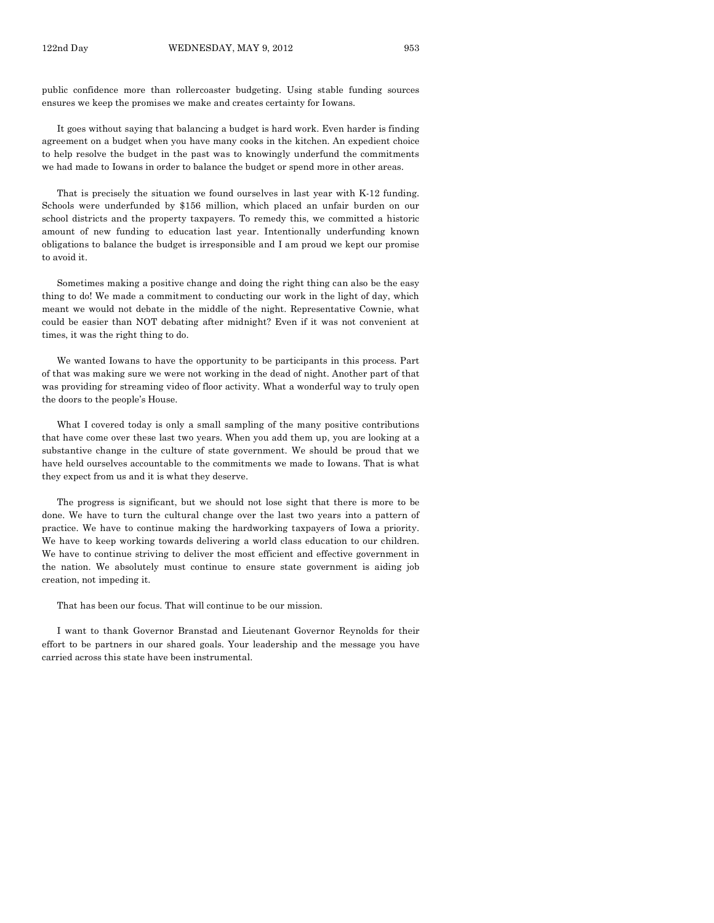public confidence more than rollercoaster budgeting. Using stable funding sources ensures we keep the promises we make and creates certainty for Iowans.

It goes without saying that balancing a budget is hard work. Even harder is finding agreement on a budget when you have many cooks in the kitchen. An expedient choice to help resolve the budget in the past was to knowingly underfund the commitments we had made to Iowans in order to balance the budget or spend more in other areas.

That is precisely the situation we found ourselves in last year with K-12 funding. Schools were underfunded by \$156 million, which placed an unfair burden on our school districts and the property taxpayers. To remedy this, we committed a historic amount of new funding to education last year. Intentionally underfunding known obligations to balance the budget is irresponsible and I am proud we kept our promise to avoid it.

Sometimes making a positive change and doing the right thing can also be the easy thing to do! We made a commitment to conducting our work in the light of day, which meant we would not debate in the middle of the night. Representative Cownie, what could be easier than NOT debating after midnight? Even if it was not convenient at times, it was the right thing to do.

We wanted Iowans to have the opportunity to be participants in this process. Part of that was making sure we were not working in the dead of night. Another part of that was providing for streaming video of floor activity. What a wonderful way to truly open the doors to the people's House.

What I covered today is only a small sampling of the many positive contributions that have come over these last two years. When you add them up, you are looking at a substantive change in the culture of state government. We should be proud that we have held ourselves accountable to the commitments we made to Iowans. That is what they expect from us and it is what they deserve.

The progress is significant, but we should not lose sight that there is more to be done. We have to turn the cultural change over the last two years into a pattern of practice. We have to continue making the hardworking taxpayers of Iowa a priority. We have to keep working towards delivering a world class education to our children. We have to continue striving to deliver the most efficient and effective government in the nation. We absolutely must continue to ensure state government is aiding job creation, not impeding it.

That has been our focus. That will continue to be our mission.

I want to thank Governor Branstad and Lieutenant Governor Reynolds for their effort to be partners in our shared goals. Your leadership and the message you have carried across this state have been instrumental.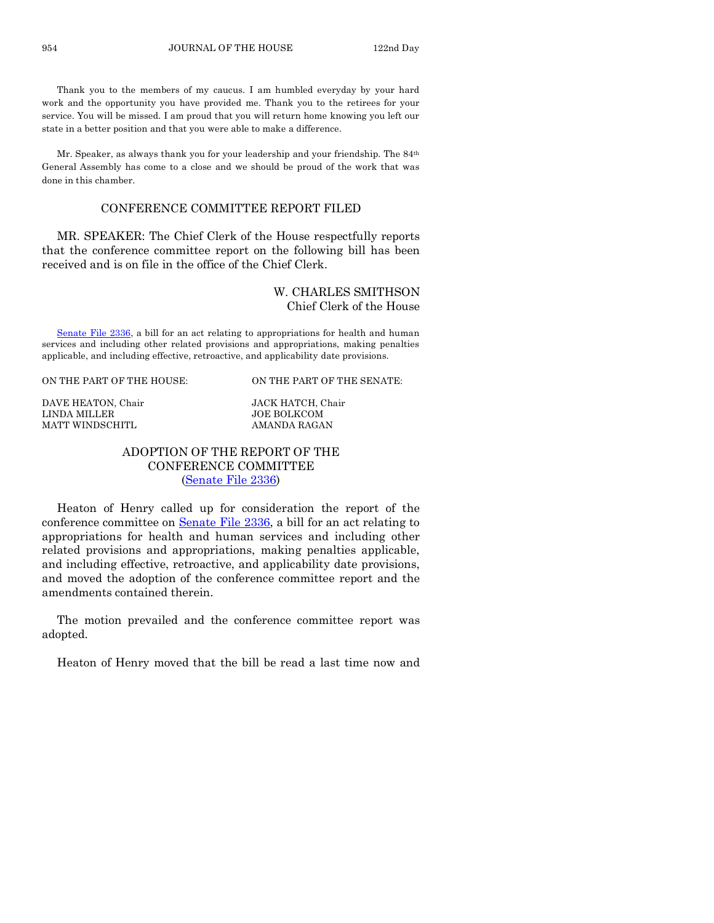Thank you to the members of my caucus. I am humbled everyday by your hard work and the opportunity you have provided me. Thank you to the retirees for your service. You will be missed. I am proud that you will return home knowing you left our state in a better position and that you were able to make a difference.

Mr. Speaker, as always thank you for your leadership and your friendship. The 84th General Assembly has come to a close and we should be proud of the work that was done in this chamber.

#### CONFERENCE COMMITTEE REPORT FILED

MR. SPEAKER: The Chief Clerk of the House respectfully reports that the conference committee report on the following bill has been received and is on file in the office of the Chief Clerk.

## W. CHARLES SMITHSON Chief Clerk of the House

[Senate File 2336,](http://coolice.legis.state.ia.us/Cool-ICE/default.asp?Category=billinfo&Service=Billbook&frame=1&GA=84&hbill=SF2336) a bill for an act relating to appropriations for health and human services and including other related provisions and appropriations, making penalties applicable, and including effective, retroactive, and applicability date provisions.

#### ON THE PART OF THE HOUSE: ON THE PART OF THE SENATE:

DAVE HEATON, Chair JACK HATCH, Chair LINDA MILLER JOE BOLKCOM MATT WINDSCHITL AMANDA RAGAN

## ADOPTION OF THE REPORT OF THE CONFERENCE COMMITTEE [\(Senate File 2336\)](http://coolice.legis.state.ia.us/Cool-ICE/default.asp?Category=billinfo&Service=Billbook&frame=1&GA=84&hbill=SF2336)

Heaton of Henry called up for consideration the report of the conference committee on [Senate File 2336,](http://coolice.legis.state.ia.us/Cool-ICE/default.asp?Category=billinfo&Service=Billbook&frame=1&GA=84&hbill=SF2336) a bill for an act relating to appropriations for health and human services and including other related provisions and appropriations, making penalties applicable, and including effective, retroactive, and applicability date provisions, and moved the adoption of the conference committee report and the amendments contained therein.

The motion prevailed and the conference committee report was adopted.

Heaton of Henry moved that the bill be read a last time now and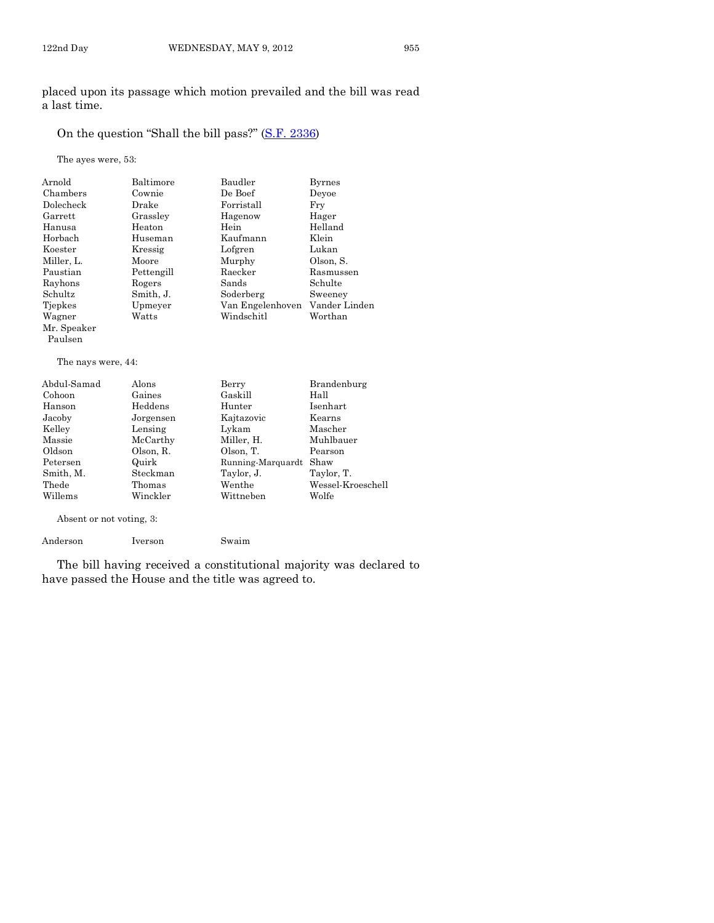placed upon its passage which motion prevailed and the bill was read a last time.

# On the question "Shall the bill pass?" [\(S.F. 2336\)](http://coolice.legis.state.ia.us/Cool-ICE/default.asp?Category=billinfo&Service=Billbook&frame=1&GA=84&hbill=SF2336)

The ayes were, 53:

| Arnold             | Baltimore  | Baudler           | <b>Byrnes</b>     |
|--------------------|------------|-------------------|-------------------|
| Chambers           | Cownie     | De Boef           | Deyoe             |
| Dolecheck          | Drake      | Forristall        | Fry               |
| Garrett            | Grassley   | Hagenow           | Hager             |
| Hanusa             | Heaton     | Hein              | Helland           |
| Horbach            | Huseman    | Kaufmann          | Klein             |
| Koester            | Kressig    | Lofgren           | Lukan             |
| Miller, L.         | Moore      | Murphy            | Olson, S.         |
| Paustian           | Pettengill | Raecker           | Rasmussen         |
| Rayhons            | Rogers     | Sands             | Schulte           |
| Schultz            | Smith, J.  | Soderberg         | Sweeney           |
| Tjepkes            | Upmeyer    | Van Engelenhoven  | Vander Linden     |
| Wagner             | Watts      | Windschitl        | Worthan           |
| Mr. Speaker        |            |                   |                   |
| Paulsen            |            |                   |                   |
| The nays were, 44: |            |                   |                   |
| Abdul-Samad        | Alons      | Berry             | Brandenburg       |
| Cohoon             | Gaines     | Gaskill           | Hall              |
| Hanson             | Heddens    | Hunter            | Isenhart          |
| Jacoby             | Jorgensen  | Kajtazovic        | Kearns            |
| Kelley             | Lensing    | Lykam             | Mascher           |
| Massie             | McCarthy   | Miller, H.        | Muhlbauer         |
| Oldson             | Olson, R.  | Olson, T.         | Pearson           |
| Petersen           | Quirk      | Running-Marquardt | Shaw              |
| Smith, M.          | Steckman   | Taylor, J.        | Taylor, T.        |
| Thede              | Thomas     | Wenthe            | Wessel-Kroeschell |

Absent or not voting, 3:

Anderson Iverson Swaim

The bill having received a constitutional majority was declared to have passed the House and the title was agreed to.

Wittneben

Thede Thomas Wenthe Wessel-Kroeschell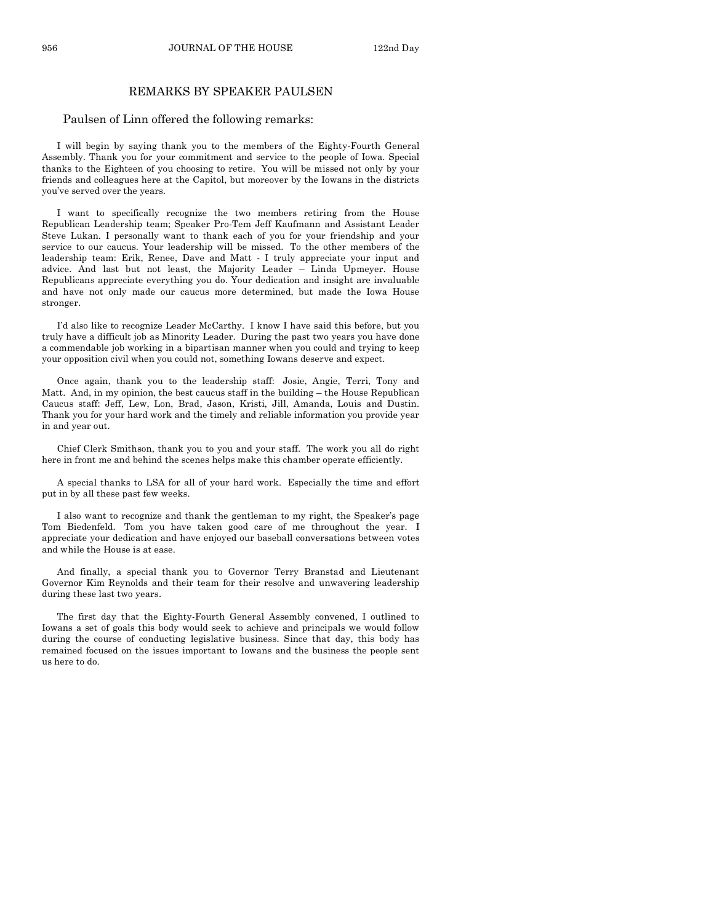956 JOURNAL OF THE HOUSE 122nd Day

#### REMARKS BY SPEAKER PAULSEN

#### Paulsen of Linn offered the following remarks:

I will begin by saying thank you to the members of the Eighty-Fourth General Assembly. Thank you for your commitment and service to the people of Iowa. Special thanks to the Eighteen of you choosing to retire. You will be missed not only by your friends and colleagues here at the Capitol, but moreover by the Iowans in the districts you've served over the years.

I want to specifically recognize the two members retiring from the House Republican Leadership team; Speaker Pro-Tem Jeff Kaufmann and Assistant Leader Steve Lukan. I personally want to thank each of you for your friendship and your service to our caucus. Your leadership will be missed. To the other members of the leadership team: Erik, Renee, Dave and Matt - I truly appreciate your input and advice. And last but not least, the Majority Leader – Linda Upmeyer. House Republicans appreciate everything you do. Your dedication and insight are invaluable and have not only made our caucus more determined, but made the Iowa House stronger.

I'd also like to recognize Leader McCarthy. I know I have said this before, but you truly have a difficult job as Minority Leader. During the past two years you have done a commendable job working in a bipartisan manner when you could and trying to keep your opposition civil when you could not, something Iowans deserve and expect.

Once again, thank you to the leadership staff: Josie, Angie, Terri, Tony and Matt. And, in my opinion, the best caucus staff in the building – the House Republican Caucus staff: Jeff, Lew, Lon, Brad, Jason, Kristi, Jill, Amanda, Louis and Dustin. Thank you for your hard work and the timely and reliable information you provide year in and year out.

Chief Clerk Smithson, thank you to you and your staff. The work you all do right here in front me and behind the scenes helps make this chamber operate efficiently.

A special thanks to LSA for all of your hard work. Especially the time and effort put in by all these past few weeks.

I also want to recognize and thank the gentleman to my right, the Speaker's page Tom Biedenfeld. Tom you have taken good care of me throughout the year. I appreciate your dedication and have enjoyed our baseball conversations between votes and while the House is at ease.

And finally, a special thank you to Governor Terry Branstad and Lieutenant Governor Kim Reynolds and their team for their resolve and unwavering leadership during these last two years.

The first day that the Eighty-Fourth General Assembly convened, I outlined to Iowans a set of goals this body would seek to achieve and principals we would follow during the course of conducting legislative business. Since that day, this body has remained focused on the issues important to Iowans and the business the people sent us here to do.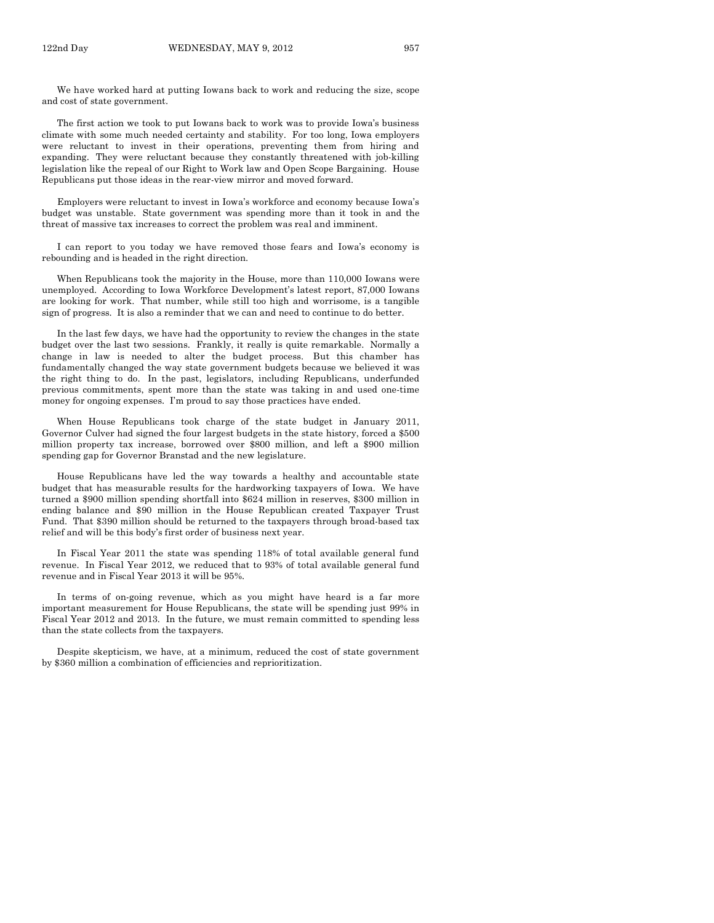We have worked hard at putting Iowans back to work and reducing the size, scope and cost of state government.

The first action we took to put Iowans back to work was to provide Iowa's business climate with some much needed certainty and stability. For too long, Iowa employers were reluctant to invest in their operations, preventing them from hiring and expanding. They were reluctant because they constantly threatened with job-killing legislation like the repeal of our Right to Work law and Open Scope Bargaining. House Republicans put those ideas in the rear-view mirror and moved forward.

Employers were reluctant to invest in Iowa's workforce and economy because Iowa's budget was unstable. State government was spending more than it took in and the threat of massive tax increases to correct the problem was real and imminent.

I can report to you today we have removed those fears and Iowa's economy is rebounding and is headed in the right direction.

When Republicans took the majority in the House, more than 110,000 Iowans were unemployed. According to Iowa Workforce Development's latest report, 87,000 Iowans are looking for work. That number, while still too high and worrisome, is a tangible sign of progress. It is also a reminder that we can and need to continue to do better.

In the last few days, we have had the opportunity to review the changes in the state budget over the last two sessions. Frankly, it really is quite remarkable. Normally a change in law is needed to alter the budget process. But this chamber has fundamentally changed the way state government budgets because we believed it was the right thing to do. In the past, legislators, including Republicans, underfunded previous commitments, spent more than the state was taking in and used one-time money for ongoing expenses. I'm proud to say those practices have ended.

When House Republicans took charge of the state budget in January 2011, Governor Culver had signed the four largest budgets in the state history, forced a \$500 million property tax increase, borrowed over \$800 million, and left a \$900 million spending gap for Governor Branstad and the new legislature.

House Republicans have led the way towards a healthy and accountable state budget that has measurable results for the hardworking taxpayers of Iowa. We have turned a \$900 million spending shortfall into \$624 million in reserves, \$300 million in ending balance and \$90 million in the House Republican created Taxpayer Trust Fund. That \$390 million should be returned to the taxpayers through broad-based tax relief and will be this body's first order of business next year.

In Fiscal Year 2011 the state was spending 118% of total available general fund revenue. In Fiscal Year 2012, we reduced that to 93% of total available general fund revenue and in Fiscal Year 2013 it will be 95%.

In terms of on-going revenue, which as you might have heard is a far more important measurement for House Republicans, the state will be spending just 99% in Fiscal Year 2012 and 2013. In the future, we must remain committed to spending less than the state collects from the taxpayers.

Despite skepticism, we have, at a minimum, reduced the cost of state government by \$360 million a combination of efficiencies and reprioritization.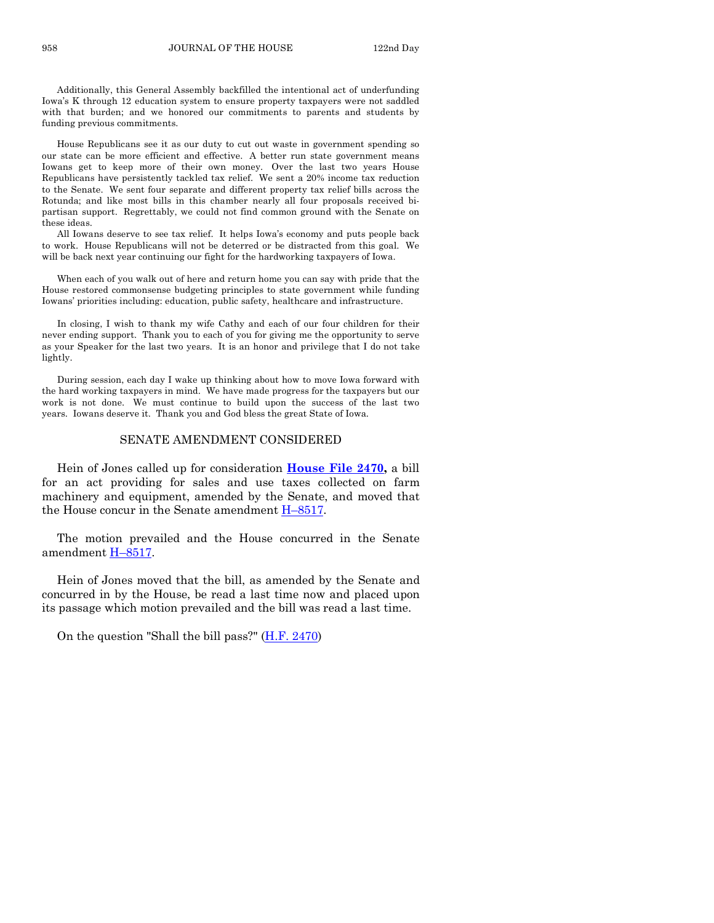Additionally, this General Assembly backfilled the intentional act of underfunding Iowa's K through 12 education system to ensure property taxpayers were not saddled with that burden; and we honored our commitments to parents and students by funding previous commitments.

House Republicans see it as our duty to cut out waste in government spending so our state can be more efficient and effective. A better run state government means Iowans get to keep more of their own money. Over the last two years House Republicans have persistently tackled tax relief. We sent a 20% income tax reduction to the Senate. We sent four separate and different property tax relief bills across the Rotunda; and like most bills in this chamber nearly all four proposals received bipartisan support. Regrettably, we could not find common ground with the Senate on these ideas.

All Iowans deserve to see tax relief. It helps Iowa's economy and puts people back to work. House Republicans will not be deterred or be distracted from this goal. We will be back next year continuing our fight for the hardworking taxpayers of Iowa.

When each of you walk out of here and return home you can say with pride that the House restored commonsense budgeting principles to state government while funding Iowans' priorities including: education, public safety, healthcare and infrastructure.

In closing, I wish to thank my wife Cathy and each of our four children for their never ending support. Thank you to each of you for giving me the opportunity to serve as your Speaker for the last two years. It is an honor and privilege that I do not take lightly.

During session, each day I wake up thinking about how to move Iowa forward with the hard working taxpayers in mind. We have made progress for the taxpayers but our work is not done. We must continue to build upon the success of the last two years. Iowans deserve it. Thank you and God bless the great State of Iowa.

#### SENATE AMENDMENT CONSIDERED

Hein of Jones called up for consideration **[House File 2470,](http://coolice.legis.state.ia.us/Cool-ICE/default.asp?Category=billinfo&Service=Billbook&frame=1&GA=84&hbill=HF2470)** a bill for an act providing for sales and use taxes collected on farm machinery and equipment, amended by the Senate, and moved that the House concur in the Senate amendment [H–8517.](http://coolice.legis.state.ia.us/Cool-ICE/default.asp?Category=billinfo&Service=Billbook&frame=1&GA=84&hbill=H8517)

The motion prevailed and the House concurred in the Senate amendment [H–8517.](http://coolice.legis.state.ia.us/Cool-ICE/default.asp?Category=billinfo&Service=Billbook&frame=1&GA=84&hbill=H8517)

Hein of Jones moved that the bill, as amended by the Senate and concurred in by the House, be read a last time now and placed upon its passage which motion prevailed and the bill was read a last time.

On the question "Shall the bill pass?" [\(H.F. 2470\)](http://coolice.legis.state.ia.us/Cool-ICE/default.asp?Category=billinfo&Service=Billbook&frame=1&GA=84&hbill=HF2470)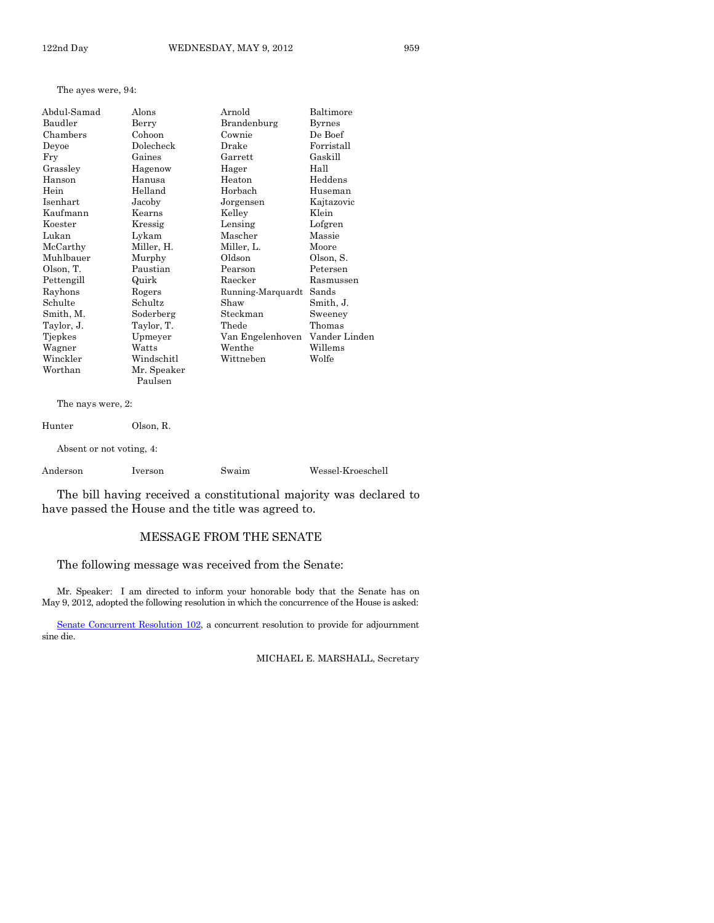The ayes were, 94:

| Abdul-Samad | Alons       | Arnold            | Baltimore     |
|-------------|-------------|-------------------|---------------|
| Baudler     | Berry       | Brandenburg       | Byrnes        |
| Chambers    | Cohoon      | Cownie            | De Boef       |
| Deyoe       | Dolecheck   | Drake             | Forristall    |
| Fry         | Gaines      | Garrett           | Gaskill       |
| Grassley    | Hagenow     | Hager             | Hall          |
| Hanson      | Hanusa      | Heaton            | Heddens       |
| Hein        | Helland     | Horbach           | Huseman       |
| Isenhart    | Jacoby      | Jorgensen         | Kajtazovic    |
| Kaufmann    | Kearns      | Kelley            | Klein         |
| Koester     | Kressig     | Lensing           | Lofgren       |
| Lukan       | Lykam       | Mascher           | Massie        |
| McCarthy    | Miller, H.  | Miller, L.        | Moore         |
| Muhlbauer   | Murphy      | Oldson            | Olson, S.     |
| Olson, T.   | Paustian    | Pearson           | Petersen      |
| Pettengill  | Quirk       | Raecker           | Rasmussen     |
| Rayhons     | Rogers      | Running-Marquardt | Sands         |
| Schulte     | Schultz     | Shaw              | Smith, J.     |
| Smith, M.   | Soderberg   | Steckman          | Sweeney       |
| Taylor, J.  | Taylor, T.  | Thede             | Thomas        |
| Tjepkes     | Upmeyer     | Van Engelenhoven  | Vander Linden |
| Wagner      | Watts       | Wenthe            | Willems       |
| Winckler    | Windschitl  | Wittneben         | Wolfe         |
| Worthan     | Mr. Speaker |                   |               |
|             | Paulsen     |                   |               |

The nays were, 2:

| Hunter   | Olson, R.                |       |                   |
|----------|--------------------------|-------|-------------------|
|          | Absent or not voting, 4: |       |                   |
| Anderson | Iverson                  | Swaim | Wessel-Kroeschell |

The bill having received a constitutional majority was declared to

have passed the House and the title was agreed to.

# MESSAGE FROM THE SENATE

The following message was received from the Senate:

Mr. Speaker: I am directed to inform your honorable body that the Senate has on May 9, 2012, adopted the following resolution in which the concurrence of the House is asked:

[Senate Concurrent Resolution 102,](http://coolice.legis.state.ia.us/Cool-ICE/default.asp?Category=billinfo&Service=Billbook&frame=1&GA=84&hbill=SCR102) a concurrent resolution to provide for adjournment sine die.

MICHAEL E. MARSHALL, Secretary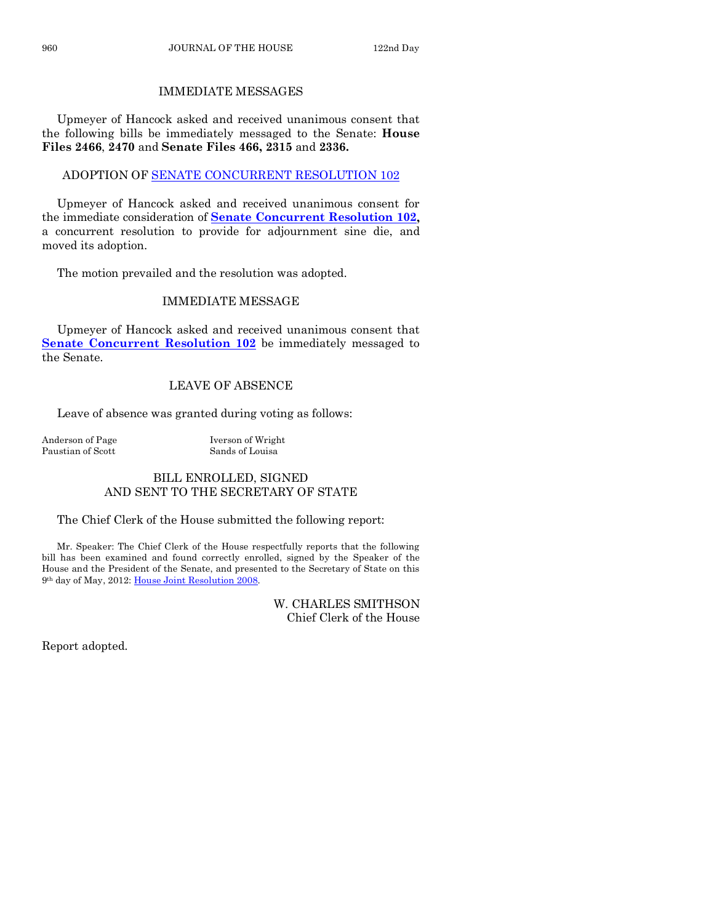# IMMEDIATE MESSAGES

Upmeyer of Hancock asked and received unanimous consent that the following bills be immediately messaged to the Senate: **House Files 2466**, **2470** and **Senate Files 466, 2315** and **2336.**

# ADOPTION O[F SENATE CONCURRENT RESOLUTION 102](http://coolice.legis.state.ia.us/Cool-ICE/default.asp?Category=billinfo&Service=Billbook&frame=1&GA=84&hbill=SCR102)

Upmeyer of Hancock asked and received unanimous consent for the immediate consideration of **[Senate Concurrent Resolution 102,](http://coolice.legis.state.ia.us/Cool-ICE/default.asp?Category=billinfo&Service=Billbook&frame=1&GA=84&hbill=SCR102)** a concurrent resolution to provide for adjournment sine die, and moved its adoption.

The motion prevailed and the resolution was adopted.

# IMMEDIATE MESSAGE

Upmeyer of Hancock asked and received unanimous consent that **[Senate Concurrent Resolution 102](http://coolice.legis.state.ia.us/Cool-ICE/default.asp?Category=billinfo&Service=Billbook&frame=1&GA=84&hbill=SCR102)** be immediately messaged to the Senate.

# LEAVE OF ABSENCE

Leave of absence was granted during voting as follows:

Anderson of Page Iverson of Wright Paustian of Scott Sands of Louisa

# BILL ENROLLED, SIGNED AND SENT TO THE SECRETARY OF STATE

The Chief Clerk of the House submitted the following report:

Mr. Speaker: The Chief Clerk of the House respectfully reports that the following bill has been examined and found correctly enrolled, signed by the Speaker of the House and the President of the Senate, and presented to the Secretary of State on this 9th day of May, 2012: [House Joint Resolution 2008.](http://coolice.legis.state.ia.us/Cool-ICE/default.asp?Category=billinfo&Service=Billbook&frame=1&GA=84&hbill=HJR2008)

> W. CHARLES SMITHSON Chief Clerk of the House

Report adopted.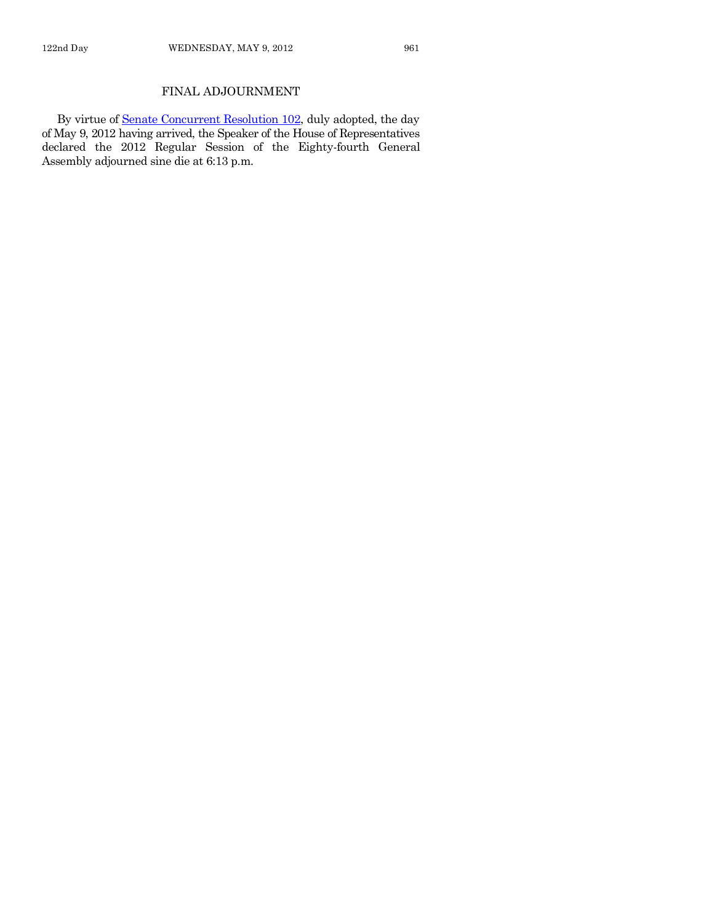# FINAL ADJOURNMENT

By virtue o[f Senate Concurrent Resolution 102,](http://coolice.legis.state.ia.us/Cool-ICE/default.asp?Category=billinfo&Service=Billbook&frame=1&GA=84&hbill=SCR102) duly adopted, the day of May 9, 2012 having arrived, the Speaker of the House of Representatives declared the 2012 Regular Session of the Eighty-fourth General Assembly adjourned sine die at 6:13 p.m.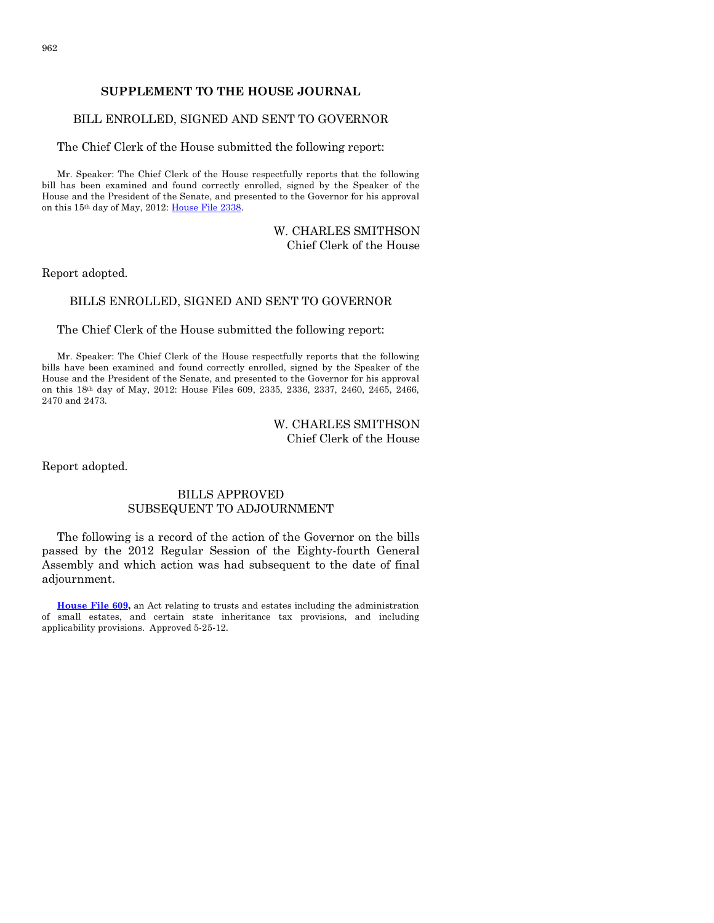# **SUPPLEMENT TO THE HOUSE JOURNAL**

#### BILL ENROLLED, SIGNED AND SENT TO GOVERNOR

The Chief Clerk of the House submitted the following report:

Mr. Speaker: The Chief Clerk of the House respectfully reports that the following bill has been examined and found correctly enrolled, signed by the Speaker of the House and the President of the Senate, and presented to the Governor for his approval on this 15th day of May, 2012: [House File 2338.](http://coolice.legis.state.ia.us/Cool-ICE/default.asp?Category=billinfo&Service=Billbook&frame=1&GA=84&hbill=HF2338)

#### W. CHARLES SMITHSON Chief Clerk of the House

Report adopted.

# BILLS ENROLLED, SIGNED AND SENT TO GOVERNOR

The Chief Clerk of the House submitted the following report:

Mr. Speaker: The Chief Clerk of the House respectfully reports that the following bills have been examined and found correctly enrolled, signed by the Speaker of the House and the President of the Senate, and presented to the Governor for his approval on this 18th day of May, 2012: House Files 609, 2335, 2336, 2337, 2460, 2465, 2466, 2470 and 2473.

# W. CHARLES SMITHSON Chief Clerk of the House

Report adopted.

#### BILLS APPROVED SUBSEQUENT TO ADJOURNMENT

The following is a record of the action of the Governor on the bills passed by the 2012 Regular Session of the Eighty-fourth General Assembly and which action was had subsequent to the date of final adjournment.

**[House File 609,](http://coolice.legis.state.ia.us/Cool-ICE/default.asp?Category=billinfo&Service=Billbook&frame=1&GA=84&hbill=HF609)** an Act relating to trusts and estates including the administration of small estates, and certain state inheritance tax provisions, and including applicability provisions. Approved 5-25-12.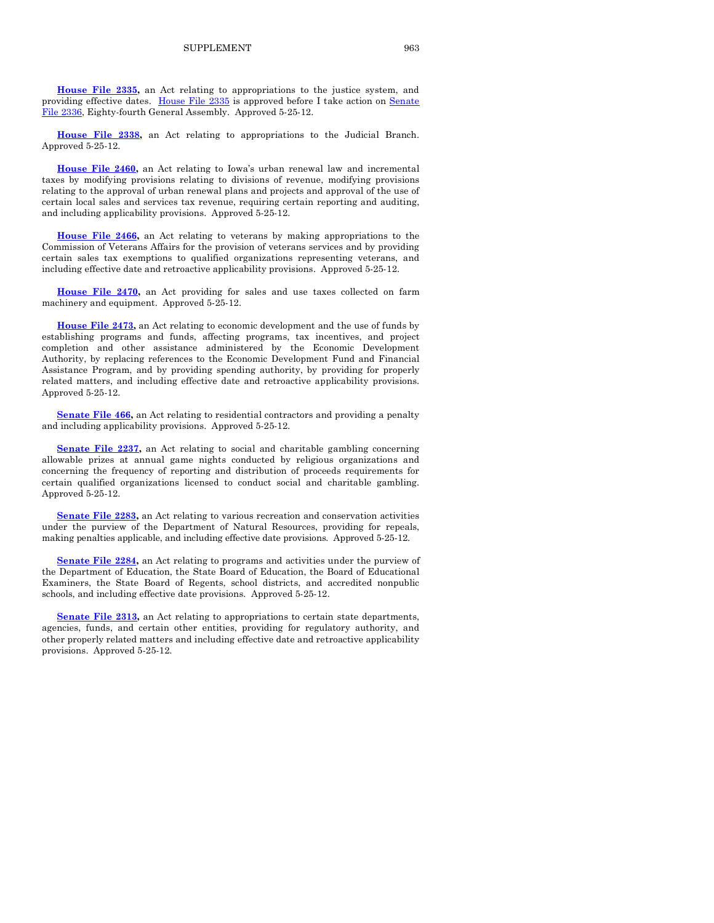**[House File 2338,](http://coolice.legis.state.ia.us/Cool-ICE/default.asp?Category=billinfo&Service=Billbook&frame=1&GA=84&hbill=HF2338)** an Act relating to appropriations to the Judicial Branch. Approved 5-25-12.

**[House File 2460,](http://coolice.legis.state.ia.us/Cool-ICE/default.asp?Category=billinfo&Service=Billbook&frame=1&GA=84&hbill=HF2460)** an Act relating to Iowa's urban renewal law and incremental taxes by modifying provisions relating to divisions of revenue, modifying provisions relating to the approval of urban renewal plans and projects and approval of the use of certain local sales and services tax revenue, requiring certain reporting and auditing, and including applicability provisions. Approved 5-25-12.

**[House File 2466,](http://coolice.legis.state.ia.us/Cool-ICE/default.asp?Category=billinfo&Service=Billbook&frame=1&GA=84&hbill=HF2466)** an Act relating to veterans by making appropriations to the Commission of Veterans Affairs for the provision of veterans services and by providing certain sales tax exemptions to qualified organizations representing veterans, and including effective date and retroactive applicability provisions. Approved 5-25-12.

**[House File 2470,](http://coolice.legis.state.ia.us/Cool-ICE/default.asp?Category=billinfo&Service=Billbook&frame=1&GA=84&hbill=HF2470)** an Act providing for sales and use taxes collected on farm machinery and equipment. Approved 5-25-12.

**[House File 2473,](http://coolice.legis.state.ia.us/Cool-ICE/default.asp?Category=billinfo&Service=Billbook&frame=1&GA=84&hbill=HF2473)** an Act relating to economic development and the use of funds by establishing programs and funds, affecting programs, tax incentives, and project completion and other assistance administered by the Economic Development Authority, by replacing references to the Economic Development Fund and Financial Assistance Program, and by providing spending authority, by providing for properly related matters, and including effective date and retroactive applicability provisions. Approved 5-25-12.

**[Senate File 466,](http://coolice.legis.state.ia.us/Cool-ICE/default.asp?Category=billinfo&Service=Billbook&frame=1&GA=84&hbill=SF466)** an Act relating to residential contractors and providing a penalty and including applicability provisions. Approved 5-25-12.

**[Senate File 2237,](http://coolice.legis.state.ia.us/Cool-ICE/default.asp?Category=billinfo&Service=Billbook&frame=1&GA=84&hbill=SF2237)** an Act relating to social and charitable gambling concerning allowable prizes at annual game nights conducted by religious organizations and concerning the frequency of reporting and distribution of proceeds requirements for certain qualified organizations licensed to conduct social and charitable gambling. Approved 5-25-12.

**[Senate File 2283,](http://coolice.legis.state.ia.us/Cool-ICE/default.asp?Category=billinfo&Service=Billbook&frame=1&GA=84&hbill=SF2283)** an Act relating to various recreation and conservation activities under the purview of the Department of Natural Resources, providing for repeals, making penalties applicable, and including effective date provisions. Approved 5-25-12.

**[Senate File 2284,](http://coolice.legis.state.ia.us/Cool-ICE/default.asp?Category=billinfo&Service=Billbook&frame=1&GA=84&hbill=SF2284)** an Act relating to programs and activities under the purview of the Department of Education, the State Board of Education, the Board of Educational Examiners, the State Board of Regents, school districts, and accredited nonpublic schools, and including effective date provisions. Approved 5-25-12.

**[Senate File 2313,](http://coolice.legis.state.ia.us/Cool-ICE/default.asp?Category=billinfo&Service=Billbook&frame=1&GA=84&hbill=SF2313)** an Act relating to appropriations to certain state departments, agencies, funds, and certain other entities, providing for regulatory authority, and other properly related matters and including effective date and retroactive applicability provisions. Approved 5-25-12.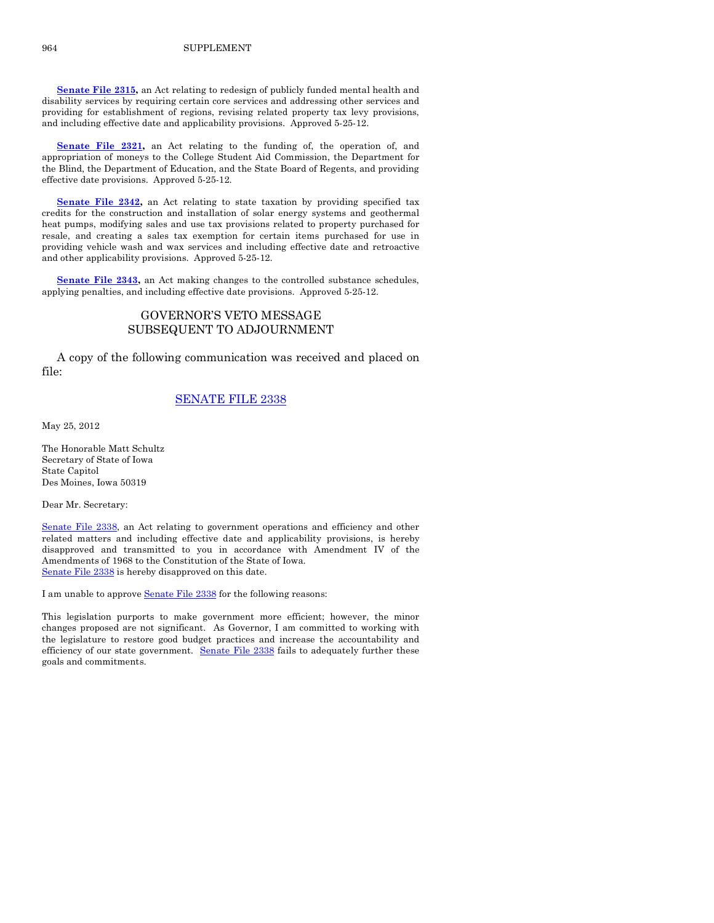**[Senate File 2315,](http://coolice.legis.state.ia.us/Cool-ICE/default.asp?Category=billinfo&Service=Billbook&frame=1&GA=84&hbill=SF2315)** an Act relating to redesign of publicly funded mental health and disability services by requiring certain core services and addressing other services and providing for establishment of regions, revising related property tax levy provisions, and including effective date and applicability provisions. Approved 5-25-12.

**[Senate File 2321,](http://coolice.legis.state.ia.us/Cool-ICE/default.asp?Category=billinfo&Service=Billbook&frame=1&GA=84&hbill=SF2321)** an Act relating to the funding of, the operation of, and appropriation of moneys to the College Student Aid Commission, the Department for the Blind, the Department of Education, and the State Board of Regents, and providing effective date provisions. Approved 5-25-12.

**[Senate File 2342,](http://coolice.legis.state.ia.us/Cool-ICE/default.asp?Category=billinfo&Service=Billbook&frame=1&GA=84&hbill=SF2342)** an Act relating to state taxation by providing specified tax credits for the construction and installation of solar energy systems and geothermal heat pumps, modifying sales and use tax provisions related to property purchased for resale, and creating a sales tax exemption for certain items purchased for use in providing vehicle wash and wax services and including effective date and retroactive and other applicability provisions. Approved 5-25-12.

**[Senate File 2343,](http://coolice.legis.state.ia.us/Cool-ICE/default.asp?Category=billinfo&Service=Billbook&frame=1&GA=84&hbill=SF2343)** an Act making changes to the controlled substance schedules, applying penalties, and including effective date provisions. Approved 5-25-12.

# GOVERNOR'S VETO MESSAGE SUBSEQUENT TO ADJOURNMENT

A copy of the following communication was received and placed on file:

#### [SENATE FILE 2338](http://coolice.legis.state.ia.us/Cool-ICE/default.asp?Category=billinfo&Service=Billbook&frame=1&GA=84&hbill=SF2338)

May 25, 2012

The Honorable Matt Schultz Secretary of State of Iowa State Capitol Des Moines, Iowa 50319

Dear Mr. Secretary:

[Senate File 2338,](http://coolice.legis.state.ia.us/Cool-ICE/default.asp?Category=billinfo&Service=Billbook&frame=1&GA=84&hbill=SF2338) an Act relating to government operations and efficiency and other related matters and including effective date and applicability provisions, is hereby disapproved and transmitted to you in accordance with Amendment IV of the Amendments of 1968 to the Constitution of the State of Iowa. [Senate File 2338](http://coolice.legis.state.ia.us/Cool-ICE/default.asp?Category=billinfo&Service=Billbook&frame=1&GA=84&hbill=SF2338) is hereby disapproved on this date.

I am unable to approv[e Senate File 2338](http://coolice.legis.state.ia.us/Cool-ICE/default.asp?Category=billinfo&Service=Billbook&frame=1&GA=84&hbill=SF2338) for the following reasons:

This legislation purports to make government more efficient; however, the minor changes proposed are not significant. As Governor, I am committed to working with the legislature to restore good budget practices and increase the accountability and efficiency of our state government. [Senate File 2338](http://coolice.legis.state.ia.us/Cool-ICE/default.asp?Category=billinfo&Service=Billbook&frame=1&GA=84&hbill=SF2338) fails to adequately further these goals and commitments.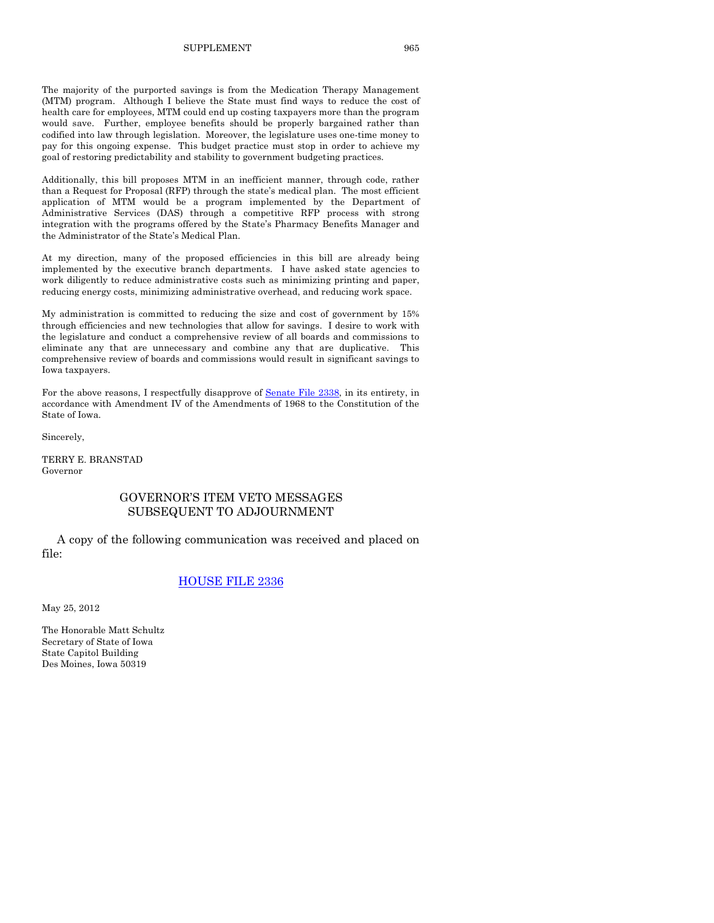#### SUPPLEMENT 965

The majority of the purported savings is from the Medication Therapy Management (MTM) program. Although I believe the State must find ways to reduce the cost of health care for employees, MTM could end up costing taxpayers more than the program would save. Further, employee benefits should be properly bargained rather than codified into law through legislation. Moreover, the legislature uses one-time money to pay for this ongoing expense. This budget practice must stop in order to achieve my goal of restoring predictability and stability to government budgeting practices.

Additionally, this bill proposes MTM in an inefficient manner, through code, rather than a Request for Proposal (RFP) through the state's medical plan. The most efficient application of MTM would be a program implemented by the Department of Administrative Services (DAS) through a competitive RFP process with strong integration with the programs offered by the State's Pharmacy Benefits Manager and the Administrator of the State's Medical Plan.

At my direction, many of the proposed efficiencies in this bill are already being implemented by the executive branch departments. I have asked state agencies to work diligently to reduce administrative costs such as minimizing printing and paper, reducing energy costs, minimizing administrative overhead, and reducing work space.

My administration is committed to reducing the size and cost of government by 15% through efficiencies and new technologies that allow for savings. I desire to work with the legislature and conduct a comprehensive review of all boards and commissions to eliminate any that are unnecessary and combine any that are duplicative. This comprehensive review of boards and commissions would result in significant savings to Iowa taxpayers.

For the above reasons, I respectfully disapprove of [Senate File 2338,](http://coolice.legis.state.ia.us/Cool-ICE/default.asp?Category=billinfo&Service=Billbook&frame=1&GA=84&hbill=SF2338) in its entirety, in accordance with Amendment IV of the Amendments of 1968 to the Constitution of the State of Iowa.

Sincerely,

TERRY E. BRANSTAD Governor

#### GOVERNOR'S ITEM VETO MESSAGES SUBSEQUENT TO ADJOURNMENT

A copy of the following communication was received and placed on file:

#### [HOUSE FILE 2336](http://coolice.legis.state.ia.us/Cool-ICE/default.asp?Category=billinfo&Service=Billbook&frame=1&GA=84&hbill=HF2336)

May 25, 2012

The Honorable Matt Schultz Secretary of State of Iowa State Capitol Building Des Moines, Iowa 50319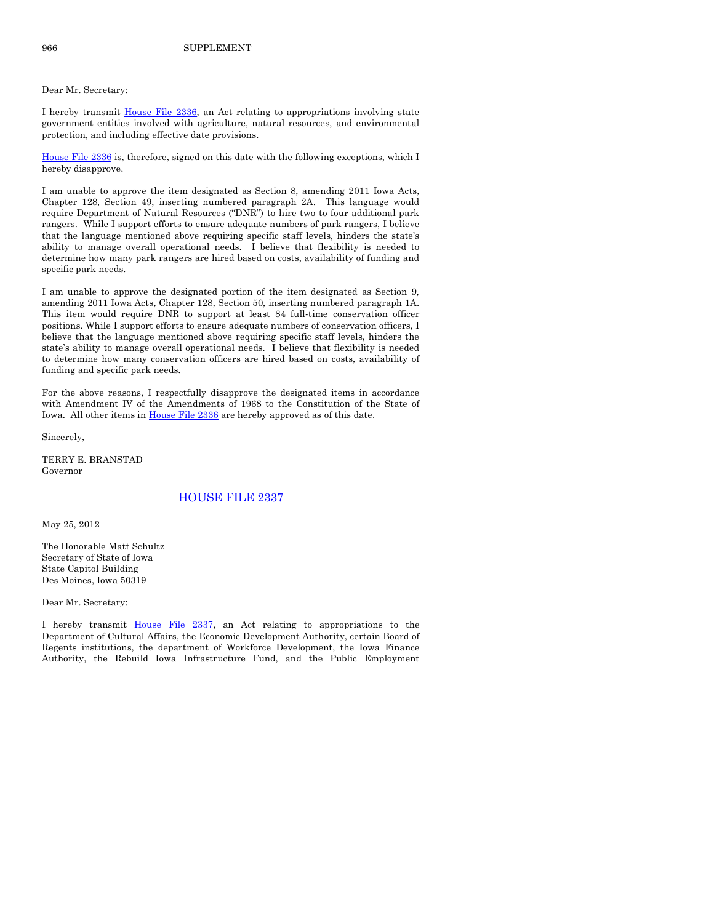#### Dear Mr. Secretary:

I hereby transmit [House File 2336,](http://coolice.legis.state.ia.us/Cool-ICE/default.asp?Category=billinfo&Service=Billbook&frame=1&GA=84&hbill=HF2336) an Act relating to appropriations involving state government entities involved with agriculture, natural resources, and environmental protection, and including effective date provisions.

[House File 2336](http://coolice.legis.state.ia.us/Cool-ICE/default.asp?Category=billinfo&Service=Billbook&frame=1&GA=84&hbill=HF2336) is, therefore, signed on this date with the following exceptions, which I hereby disapprove.

I am unable to approve the item designated as Section 8, amending 2011 Iowa Acts, Chapter 128, Section 49, inserting numbered paragraph 2A. This language would require Department of Natural Resources ("DNR") to hire two to four additional park rangers. While I support efforts to ensure adequate numbers of park rangers, I believe that the language mentioned above requiring specific staff levels, hinders the state's ability to manage overall operational needs. I believe that flexibility is needed to determine how many park rangers are hired based on costs, availability of funding and specific park needs.

I am unable to approve the designated portion of the item designated as Section 9, amending 2011 Iowa Acts, Chapter 128, Section 50, inserting numbered paragraph 1A. This item would require DNR to support at least 84 full-time conservation officer positions. While I support efforts to ensure adequate numbers of conservation officers, I believe that the language mentioned above requiring specific staff levels, hinders the state's ability to manage overall operational needs. I believe that flexibility is needed to determine how many conservation officers are hired based on costs, availability of funding and specific park needs.

For the above reasons, I respectfully disapprove the designated items in accordance with Amendment IV of the Amendments of 1968 to the Constitution of the State of Iowa. All other items i[n House File 2336](http://coolice.legis.state.ia.us/Cool-ICE/default.asp?Category=billinfo&Service=Billbook&frame=1&GA=84&hbill=HF2336) are hereby approved as of this date.

Sincerely,

TERRY E. BRANSTAD Governor

#### [HOUSE FILE 2337](http://coolice.legis.state.ia.us/Cool-ICE/default.asp?Category=billinfo&Service=Billbook&frame=1&GA=84&hbill=HF2337)

May 25, 2012

The Honorable Matt Schultz Secretary of State of Iowa State Capitol Building Des Moines, Iowa 50319

Dear Mr. Secretary:

I hereby transmit [House File 2337,](http://coolice.legis.state.ia.us/Cool-ICE/default.asp?Category=billinfo&Service=Billbook&frame=1&GA=84&hbill=HF2337) an Act relating to appropriations to the Department of Cultural Affairs, the Economic Development Authority, certain Board of Regents institutions, the department of Workforce Development, the Iowa Finance Authority, the Rebuild Iowa Infrastructure Fund, and the Public Employment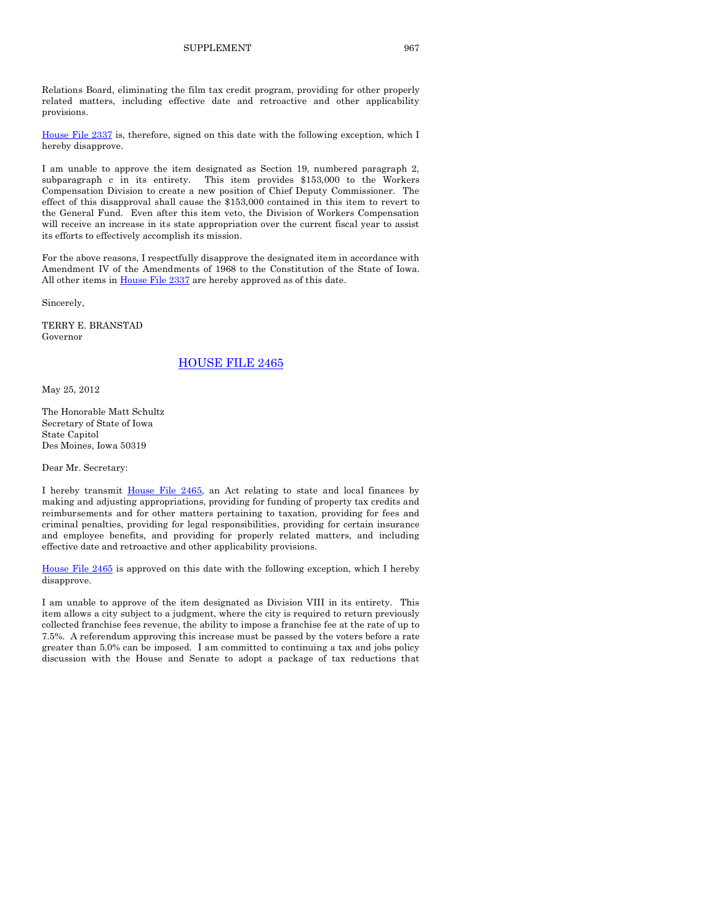Relations Board, eliminating the film tax credit program, providing for other properly related matters, including effective date and retroactive and other applicability provisions.

[House File 2337](http://coolice.legis.state.ia.us/Cool-ICE/default.asp?Category=billinfo&Service=Billbook&frame=1&GA=84&hbill=HF2337) is, therefore, signed on this date with the following exception, which I hereby disapprove.

I am unable to approve the item designated as Section 19, numbered paragraph 2, subparagraph c in its entirety. This item provides \$153,000 to the Workers Compensation Division to create a new position of Chief Deputy Commissioner. The effect of this disapproval shall cause the \$153,000 contained in this item to revert to the General Fund. Even after this item veto, the Division of Workers Compensation will receive an increase in its state appropriation over the current fiscal year to assist its efforts to effectively accomplish its mission.

For the above reasons, I respectfully disapprove the designated item in accordance with Amendment IV of the Amendments of 1968 to the Constitution of the State of Iowa. All other items in [House File 2337](http://coolice.legis.state.ia.us/Cool-ICE/default.asp?Category=billinfo&Service=Billbook&frame=1&GA=84&hbill=HF2337) are hereby approved as of this date.

Sincerely,

TERRY E. BRANSTAD Governor

[HOUSE FILE 2465](http://coolice.legis.state.ia.us/Cool-ICE/default.asp?Category=billinfo&Service=Billbook&frame=1&GA=84&hbill=HF2465)

May 25, 2012

The Honorable Matt Schultz Secretary of State of Iowa State Capitol Des Moines, Iowa 50319

Dear Mr. Secretary:

I hereby transmit [House File 2465,](http://coolice.legis.state.ia.us/Cool-ICE/default.asp?Category=billinfo&Service=Billbook&frame=1&GA=84&hbill=HF2465) an Act relating to state and local finances by making and adjusting appropriations, providing for funding of property tax credits and reimbursements and for other matters pertaining to taxation, providing for fees and criminal penalties, providing for legal responsibilities, providing for certain insurance and employee benefits, and providing for properly related matters, and including effective date and retroactive and other applicability provisions.

[House File 2465](http://coolice.legis.state.ia.us/Cool-ICE/default.asp?Category=billinfo&Service=Billbook&frame=1&GA=84&hbill=HF2465) is approved on this date with the following exception, which I hereby disapprove.

I am unable to approve of the item designated as Division VIII in its entirety. This item allows a city subject to a judgment, where the city is required to return previously collected franchise fees revenue, the ability to impose a franchise fee at the rate of up to 7.5%. A referendum approving this increase must be passed by the voters before a rate greater than 5.0% can be imposed. I am committed to continuing a tax and jobs policy discussion with the House and Senate to adopt a package of tax reductions that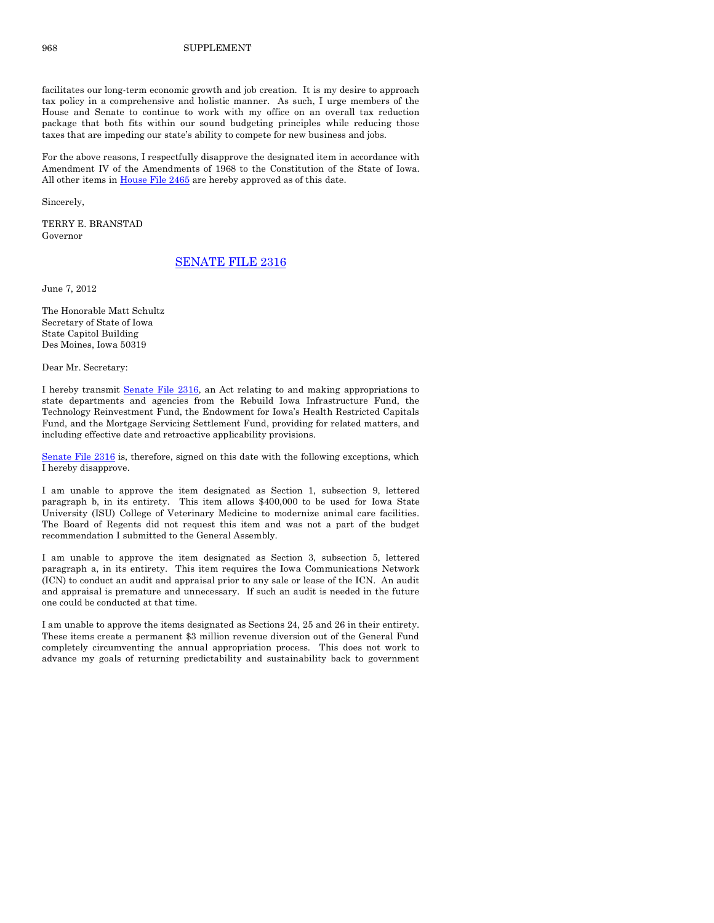#### 968 SUPPLEMENT

facilitates our long-term economic growth and job creation. It is my desire to approach tax policy in a comprehensive and holistic manner. As such, I urge members of the House and Senate to continue to work with my office on an overall tax reduction package that both fits within our sound budgeting principles while reducing those taxes that are impeding our state's ability to compete for new business and jobs.

For the above reasons, I respectfully disapprove the designated item in accordance with Amendment IV of the Amendments of 1968 to the Constitution of the State of Iowa. All other items in [House File 2465](http://coolice.legis.state.ia.us/Cool-ICE/default.asp?Category=billinfo&Service=Billbook&frame=1&GA=84&hbill=HF2465) are hereby approved as of this date.

Sincerely,

TERRY E. BRANSTAD Governor

#### [SENATE FILE 2316](http://coolice.legis.state.ia.us/Cool-ICE/default.asp?Category=billinfo&Service=Billbook&frame=1&GA=84&hbill=SF2316)

June 7, 2012

The Honorable Matt Schultz Secretary of State of Iowa State Capitol Building Des Moines, Iowa 50319

Dear Mr. Secretary:

I hereby transmit [Senate File 2316,](http://coolice.legis.state.ia.us/Cool-ICE/default.asp?Category=billinfo&Service=Billbook&frame=1&GA=84&hbill=SF2316) an Act relating to and making appropriations to state departments and agencies from the Rebuild Iowa Infrastructure Fund, the Technology Reinvestment Fund, the Endowment for Iowa's Health Restricted Capitals Fund, and the Mortgage Servicing Settlement Fund, providing for related matters, and including effective date and retroactive applicability provisions.

[Senate File 2316](http://coolice.legis.state.ia.us/Cool-ICE/default.asp?Category=billinfo&Service=Billbook&frame=1&GA=84&hbill=SF2316) is, therefore, signed on this date with the following exceptions, which I hereby disapprove.

I am unable to approve the item designated as Section 1, subsection 9, lettered paragraph b, in its entirety. This item allows \$400,000 to be used for Iowa State University (ISU) College of Veterinary Medicine to modernize animal care facilities. The Board of Regents did not request this item and was not a part of the budget recommendation I submitted to the General Assembly.

I am unable to approve the item designated as Section 3, subsection 5, lettered paragraph a, in its entirety. This item requires the Iowa Communications Network (ICN) to conduct an audit and appraisal prior to any sale or lease of the ICN. An audit and appraisal is premature and unnecessary. If such an audit is needed in the future one could be conducted at that time.

I am unable to approve the items designated as Sections 24, 25 and 26 in their entirety. These items create a permanent \$3 million revenue diversion out of the General Fund completely circumventing the annual appropriation process. This does not work to advance my goals of returning predictability and sustainability back to government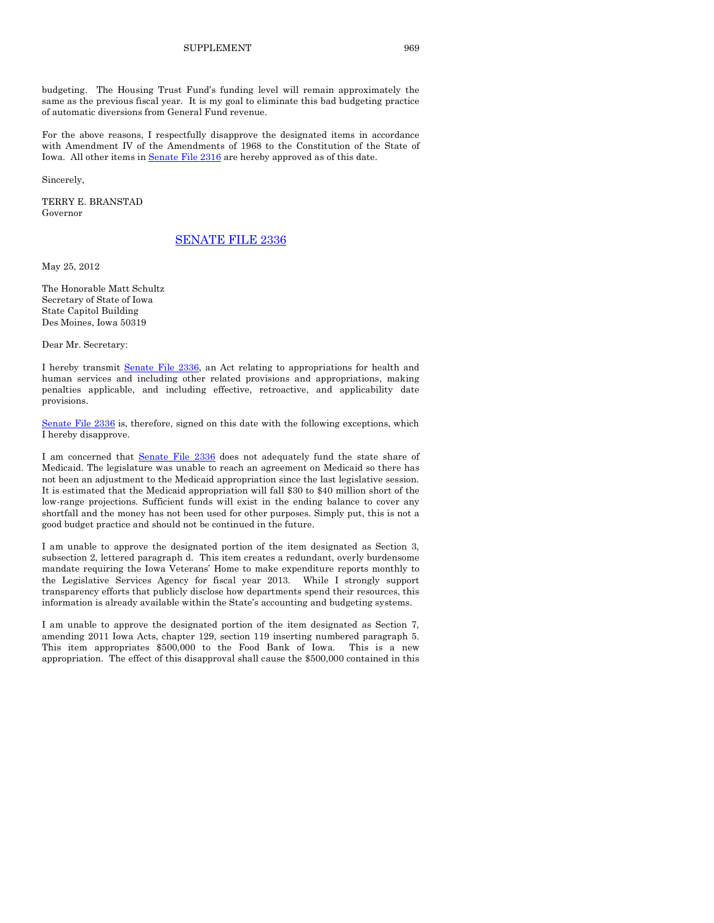budgeting. The Housing Trust Fund's funding level will remain approximately the same as the previous fiscal year. It is my goal to eliminate this bad budgeting practice of automatic diversions from General Fund revenue.

For the above reasons, I respectfully disapprove the designated items in accordance with Amendment IV of the Amendments of 1968 to the Constitution of the State of Iowa. All other items i[n Senate File 2316](http://coolice.legis.state.ia.us/Cool-ICE/default.asp?Category=billinfo&Service=Billbook&frame=1&GA=84&hbill=SF2316) are hereby approved as of this date.

Sincerely,

TERRY E. BRANSTAD Governor

#### [SENATE FILE 2336](http://coolice.legis.state.ia.us/Cool-ICE/default.asp?Category=billinfo&Service=Billbook&frame=1&GA=84&hbill=SF2336)

May 25, 2012

The Honorable Matt Schultz Secretary of State of Iowa State Capitol Building Des Moines, Iowa 50319

Dear Mr. Secretary:

I hereby transmit [Senate File 2336,](http://coolice.legis.state.ia.us/Cool-ICE/default.asp?Category=billinfo&Service=Billbook&frame=1&GA=84&hbill=SF2336) an Act relating to appropriations for health and human services and including other related provisions and appropriations, making penalties applicable, and including effective, retroactive, and applicability date provisions.

[Senate File 2336](http://coolice.legis.state.ia.us/Cool-ICE/default.asp?Category=billinfo&Service=Billbook&frame=1&GA=84&hbill=SF2336) is, therefore, signed on this date with the following exceptions, which I hereby disapprove.

I am concerned that [Senate File 2336](http://coolice.legis.state.ia.us/Cool-ICE/default.asp?Category=billinfo&Service=Billbook&frame=1&GA=84&hbill=SF2336) does not adequately fund the state share of Medicaid. The legislature was unable to reach an agreement on Medicaid so there has not been an adjustment to the Medicaid appropriation since the last legislative session. It is estimated that the Medicaid appropriation will fall \$30 to \$40 million short of the low-range projections. Sufficient funds will exist in the ending balance to cover any shortfall and the money has not been used for other purposes. Simply put, this is not a good budget practice and should not be continued in the future.

I am unable to approve the designated portion of the item designated as Section 3, subsection 2, lettered paragraph d. This item creates a redundant, overly burdensome mandate requiring the Iowa Veterans' Home to make expenditure reports monthly to the Legislative Services Agency for fiscal year 2013. While I strongly support transparency efforts that publicly disclose how departments spend their resources, this information is already available within the State's accounting and budgeting systems.

I am unable to approve the designated portion of the item designated as Section 7, amending 2011 Iowa Acts, chapter 129, section 119 inserting numbered paragraph 5. This item appropriates \$500,000 to the Food Bank of Iowa. This is a new appropriation. The effect of this disapproval shall cause the \$500,000 contained in this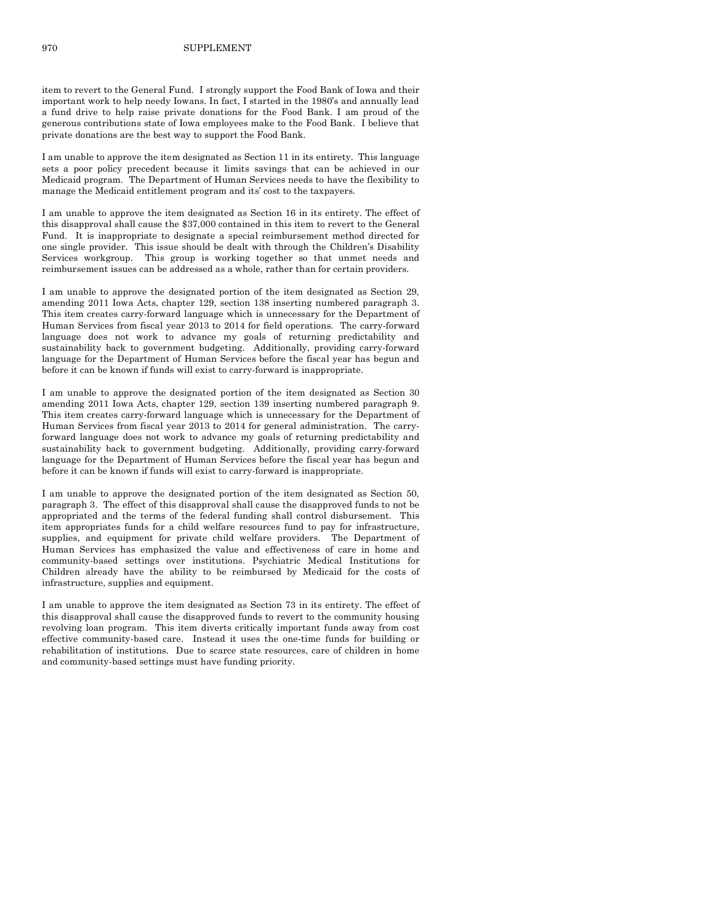item to revert to the General Fund. I strongly support the Food Bank of Iowa and their important work to help needy Iowans. In fact, I started in the 1980's and annually lead a fund drive to help raise private donations for the Food Bank. I am proud of the generous contributions state of Iowa employees make to the Food Bank. I believe that private donations are the best way to support the Food Bank.

I am unable to approve the item designated as Section 11 in its entirety. This language sets a poor policy precedent because it limits savings that can be achieved in our Medicaid program. The Department of Human Services needs to have the flexibility to manage the Medicaid entitlement program and its' cost to the taxpayers.

I am unable to approve the item designated as Section 16 in its entirety. The effect of this disapproval shall cause the \$37,000 contained in this item to revert to the General Fund. It is inappropriate to designate a special reimbursement method directed for one single provider. This issue should be dealt with through the Children's Disability Services workgroup. This group is working together so that unmet needs and reimbursement issues can be addressed as a whole, rather than for certain providers.

I am unable to approve the designated portion of the item designated as Section 29, amending 2011 Iowa Acts, chapter 129, section 138 inserting numbered paragraph 3. This item creates carry-forward language which is unnecessary for the Department of Human Services from fiscal year 2013 to 2014 for field operations. The carry-forward language does not work to advance my goals of returning predictability and sustainability back to government budgeting. Additionally, providing carry-forward language for the Department of Human Services before the fiscal year has begun and before it can be known if funds will exist to carry-forward is inappropriate.

I am unable to approve the designated portion of the item designated as Section 30 amending 2011 Iowa Acts, chapter 129, section 139 inserting numbered paragraph 9. This item creates carry-forward language which is unnecessary for the Department of Human Services from fiscal year 2013 to 2014 for general administration. The carryforward language does not work to advance my goals of returning predictability and sustainability back to government budgeting. Additionally, providing carry-forward language for the Department of Human Services before the fiscal year has begun and before it can be known if funds will exist to carry-forward is inappropriate.

I am unable to approve the designated portion of the item designated as Section 50, paragraph 3. The effect of this disapproval shall cause the disapproved funds to not be appropriated and the terms of the federal funding shall control disbursement. This item appropriates funds for a child welfare resources fund to pay for infrastructure, supplies, and equipment for private child welfare providers. The Department of Human Services has emphasized the value and effectiveness of care in home and community-based settings over institutions. Psychiatric Medical Institutions for Children already have the ability to be reimbursed by Medicaid for the costs of infrastructure, supplies and equipment.

I am unable to approve the item designated as Section 73 in its entirety. The effect of this disapproval shall cause the disapproved funds to revert to the community housing revolving loan program. This item diverts critically important funds away from cost effective community-based care. Instead it uses the one-time funds for building or rehabilitation of institutions. Due to scarce state resources, care of children in home and community-based settings must have funding priority.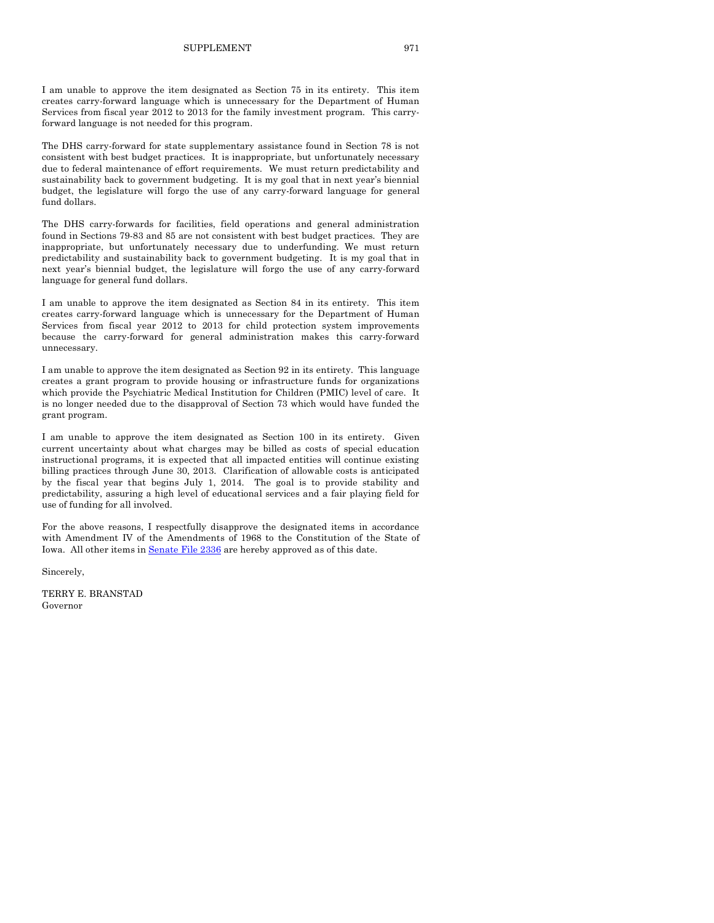I am unable to approve the item designated as Section 75 in its entirety. This item creates carry-forward language which is unnecessary for the Department of Human Services from fiscal year 2012 to 2013 for the family investment program. This carryforward language is not needed for this program.

The DHS carry-forward for state supplementary assistance found in Section 78 is not consistent with best budget practices. It is inappropriate, but unfortunately necessary due to federal maintenance of effort requirements. We must return predictability and sustainability back to government budgeting. It is my goal that in next year's biennial budget, the legislature will forgo the use of any carry-forward language for general fund dollars.

The DHS carry-forwards for facilities, field operations and general administration found in Sections 79-83 and 85 are not consistent with best budget practices. They are inappropriate, but unfortunately necessary due to underfunding. We must return predictability and sustainability back to government budgeting. It is my goal that in next year's biennial budget, the legislature will forgo the use of any carry-forward language for general fund dollars.

I am unable to approve the item designated as Section 84 in its entirety. This item creates carry-forward language which is unnecessary for the Department of Human Services from fiscal year 2012 to 2013 for child protection system improvements because the carry-forward for general administration makes this carry-forward unnecessary.

I am unable to approve the item designated as Section 92 in its entirety. This language creates a grant program to provide housing or infrastructure funds for organizations which provide the Psychiatric Medical Institution for Children (PMIC) level of care. It is no longer needed due to the disapproval of Section 73 which would have funded the grant program.

I am unable to approve the item designated as Section 100 in its entirety. Given current uncertainty about what charges may be billed as costs of special education instructional programs, it is expected that all impacted entities will continue existing billing practices through June 30, 2013. Clarification of allowable costs is anticipated by the fiscal year that begins July 1, 2014. The goal is to provide stability and predictability, assuring a high level of educational services and a fair playing field for use of funding for all involved.

For the above reasons, I respectfully disapprove the designated items in accordance with Amendment IV of the Amendments of 1968 to the Constitution of the State of Iowa. All other items i[n Senate File 2336](http://coolice.legis.state.ia.us/Cool-ICE/default.asp?Category=billinfo&Service=Billbook&frame=1&GA=84&hbill=SF2336) are hereby approved as of this date.

Sincerely,

TERRY E. BRANSTAD Governor